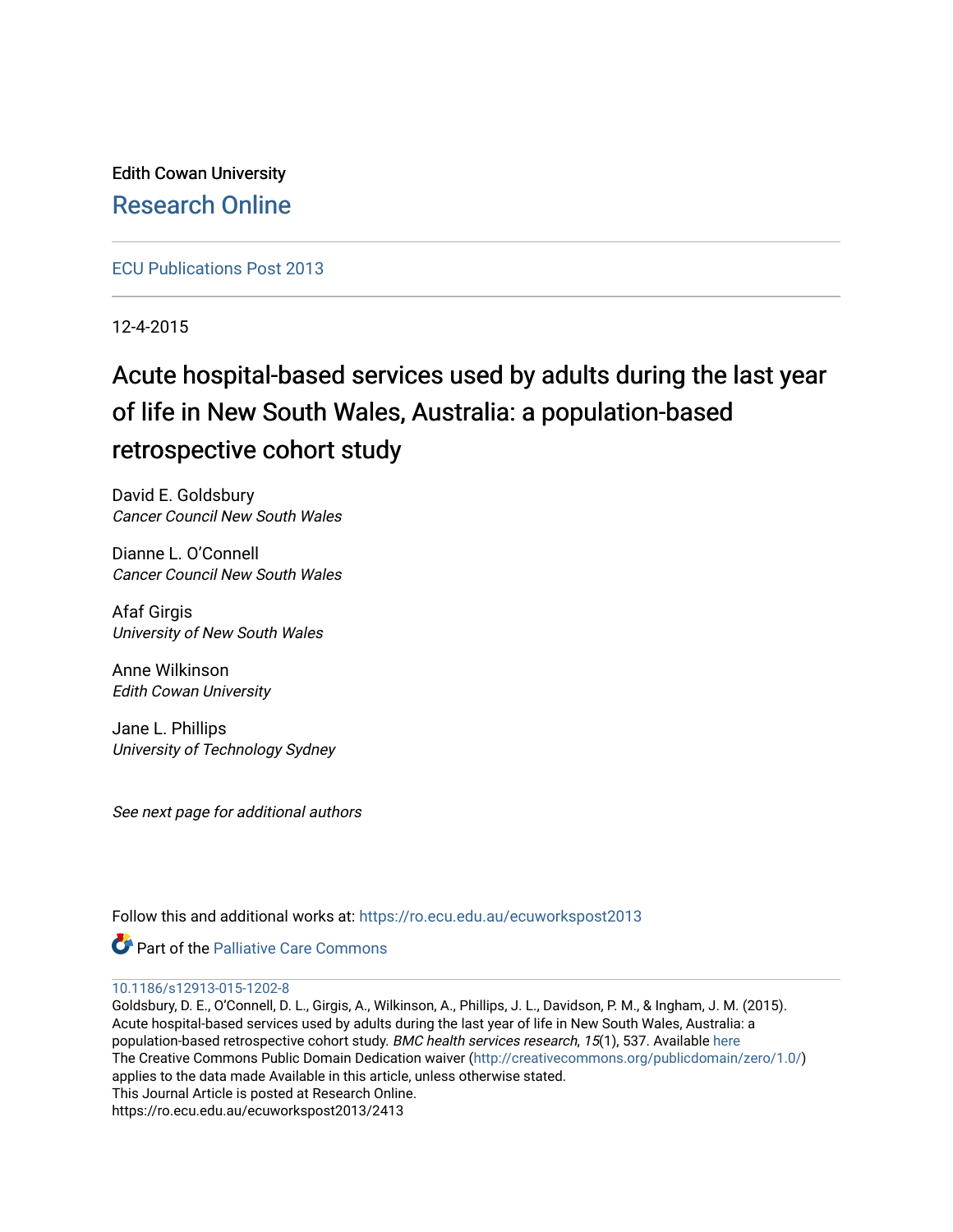Edith Cowan University [Research Online](https://ro.ecu.edu.au/) 

[ECU Publications Post 2013](https://ro.ecu.edu.au/ecuworkspost2013)

12-4-2015

# Acute hospital-based services used by adults during the last year of life in New South Wales, Australia: a population-based retrospective cohort study

David E. Goldsbury Cancer Council New South Wales

Dianne L. O'Connell Cancer Council New South Wales

Afaf Girgis University of New South Wales

Anne Wilkinson Edith Cowan University

Jane L. Phillips University of Technology Sydney

See next page for additional authors

Follow this and additional works at: [https://ro.ecu.edu.au/ecuworkspost2013](https://ro.ecu.edu.au/ecuworkspost2013?utm_source=ro.ecu.edu.au%2Fecuworkspost2013%2F2413&utm_medium=PDF&utm_campaign=PDFCoverPages) 

**C** Part of the Palliative Care Commons

# [10.1186/s12913-015-1202-8](http://dx.doi.org/10.1186/s12913-015-1202-8)

Goldsbury, D. E., O'Connell, D. L., Girgis, A., Wilkinson, A., Phillips, J. L., Davidson, P. M., & Ingham, J. M. (2015). Acute hospital-based services used by adults during the last year of life in New South Wales, Australia: a population-based retrospective cohort study. BMC health services research, 15(1), 537. Available here The Creative Commons Public Domain Dedication waiver [\(http://creativecommons.org/publicdomain/zero/1.0/](http://creativecommons.org/publicdomain/zero/1.0/)) applies to the data made Available in this article, unless otherwise stated. This Journal Article is posted at Research Online. https://ro.ecu.edu.au/ecuworkspost2013/2413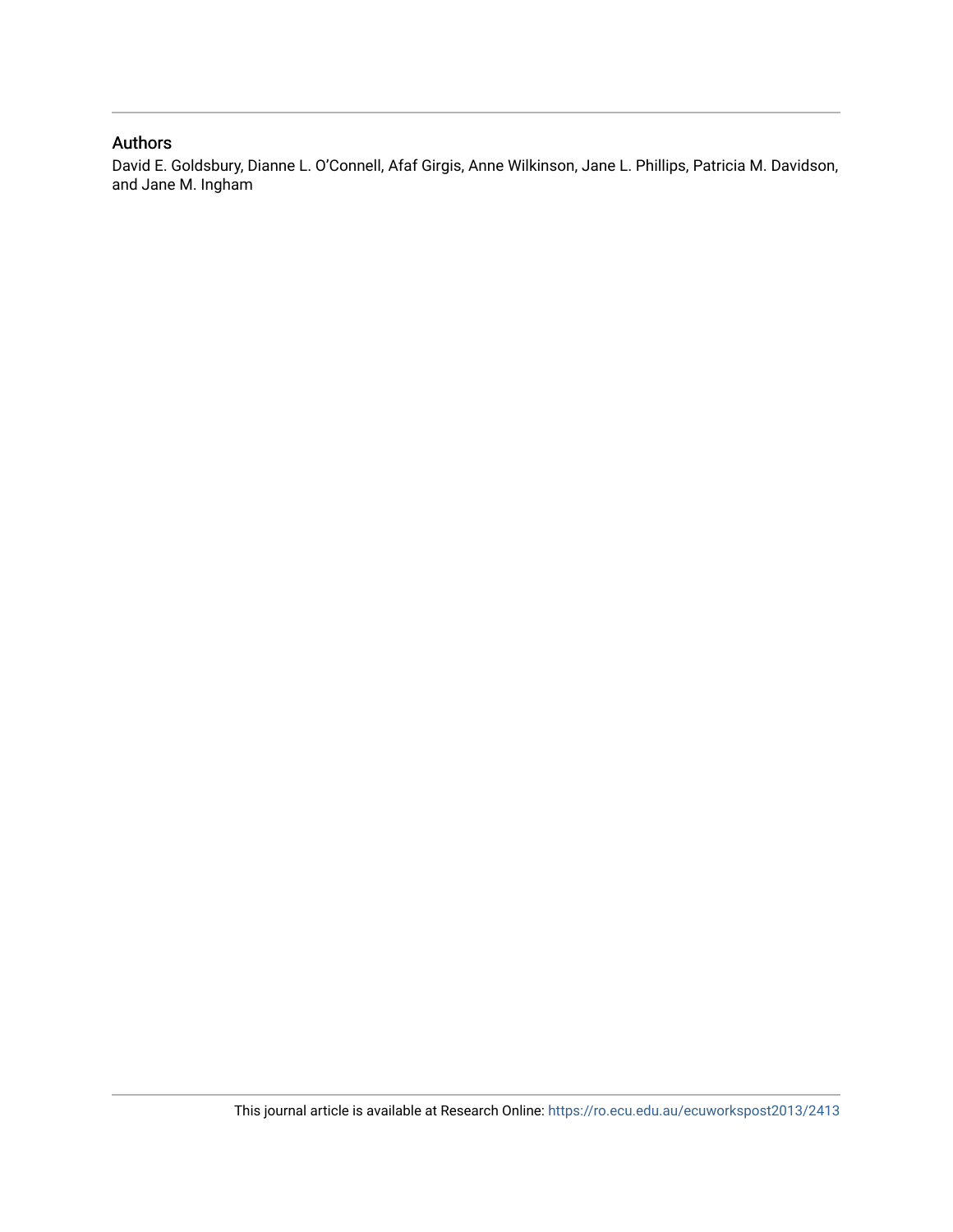# Authors

David E. Goldsbury, Dianne L. O'Connell, Afaf Girgis, Anne Wilkinson, Jane L. Phillips, Patricia M. Davidson, and Jane M. Ingham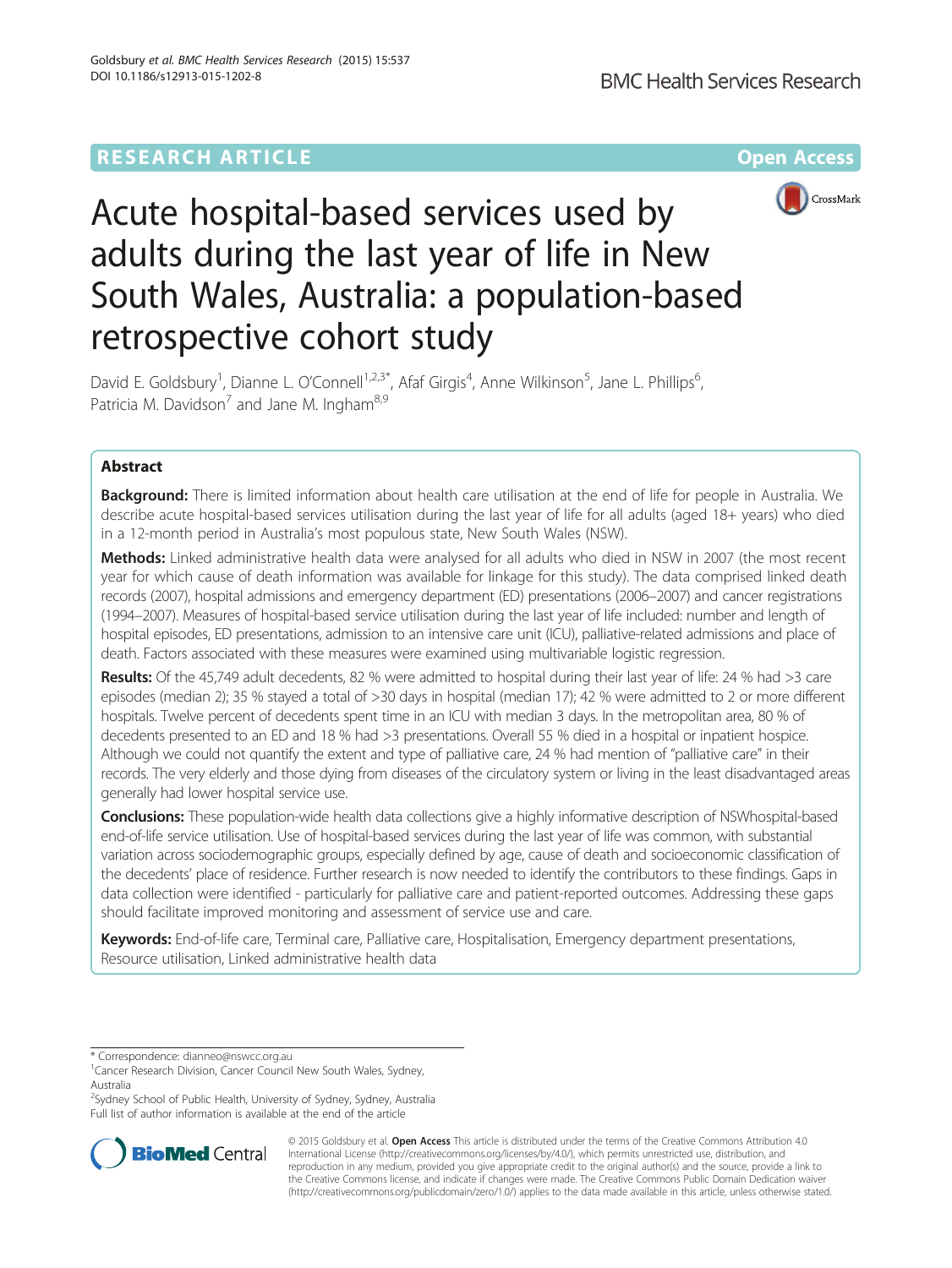# **RESEARCH ARTICLE External Structure of the Contract Open Access**



# Acute hospital-based services used by adults during the last year of life in New South Wales, Australia: a population-based retrospective cohort study

David E. Goldsbury<sup>1</sup>, Dianne L. O'Connell<sup>1,2,3\*</sup>, Afaf Girgis<sup>4</sup>, Anne Wilkinson<sup>5</sup>, Jane L. Phillips<sup>6</sup> , Patricia M. Davidson<sup>7</sup> and Jane M. Ingham<sup>8,9</sup>

# Abstract

Background: There is limited information about health care utilisation at the end of life for people in Australia. We describe acute hospital-based services utilisation during the last year of life for all adults (aged 18+ years) who died in a 12-month period in Australia's most populous state, New South Wales (NSW).

Methods: Linked administrative health data were analysed for all adults who died in NSW in 2007 (the most recent year for which cause of death information was available for linkage for this study). The data comprised linked death records (2007), hospital admissions and emergency department (ED) presentations (2006–2007) and cancer registrations (1994–2007). Measures of hospital-based service utilisation during the last year of life included: number and length of hospital episodes, ED presentations, admission to an intensive care unit (ICU), palliative-related admissions and place of death. Factors associated with these measures were examined using multivariable logistic regression.

Results: Of the 45,749 adult decedents, 82 % were admitted to hospital during their last year of life: 24 % had >3 care episodes (median 2); 35 % stayed a total of >30 days in hospital (median 17); 42 % were admitted to 2 or more different hospitals. Twelve percent of decedents spent time in an ICU with median 3 days. In the metropolitan area, 80 % of decedents presented to an ED and 18 % had >3 presentations. Overall 55 % died in a hospital or inpatient hospice. Although we could not quantify the extent and type of palliative care, 24 % had mention of "palliative care" in their records. The very elderly and those dying from diseases of the circulatory system or living in the least disadvantaged areas generally had lower hospital service use.

Conclusions: These population-wide health data collections give a highly informative description of NSWhospital-based end-of-life service utilisation. Use of hospital-based services during the last year of life was common, with substantial variation across sociodemographic groups, especially defined by age, cause of death and socioeconomic classification of the decedents' place of residence. Further research is now needed to identify the contributors to these findings. Gaps in data collection were identified - particularly for palliative care and patient-reported outcomes. Addressing these gaps should facilitate improved monitoring and assessment of service use and care.

Keywords: End-of-life care, Terminal care, Palliative care, Hospitalisation, Emergency department presentations, Resource utilisation, Linked administrative health data

<sup>2</sup>Sydney School of Public Health, University of Sydney, Sydney, Australia Full list of author information is available at the end of the article



© 2015 Goldsbury et al. Open Access This article is distributed under the terms of the Creative Commons Attribution 4.0 International License [\(http://creativecommons.org/licenses/by/4.0/](http://creativecommons.org/licenses/by/4.0/)), which permits unrestricted use, distribution, and reproduction in any medium, provided you give appropriate credit to the original author(s) and the source, provide a link to the Creative Commons license, and indicate if changes were made. The Creative Commons Public Domain Dedication waiver [\(http://creativecommons.org/publicdomain/zero/1.0/](http://creativecommons.org/publicdomain/zero/1.0/)) applies to the data made available in this article, unless otherwise stated.

<sup>\*</sup> Correspondence: [dianneo@nswcc.org.au](mailto:dianneo@nswcc.org.au) <sup>1</sup>

<sup>&</sup>lt;sup>1</sup> Cancer Research Division, Cancer Council New South Wales, Sydney, Australia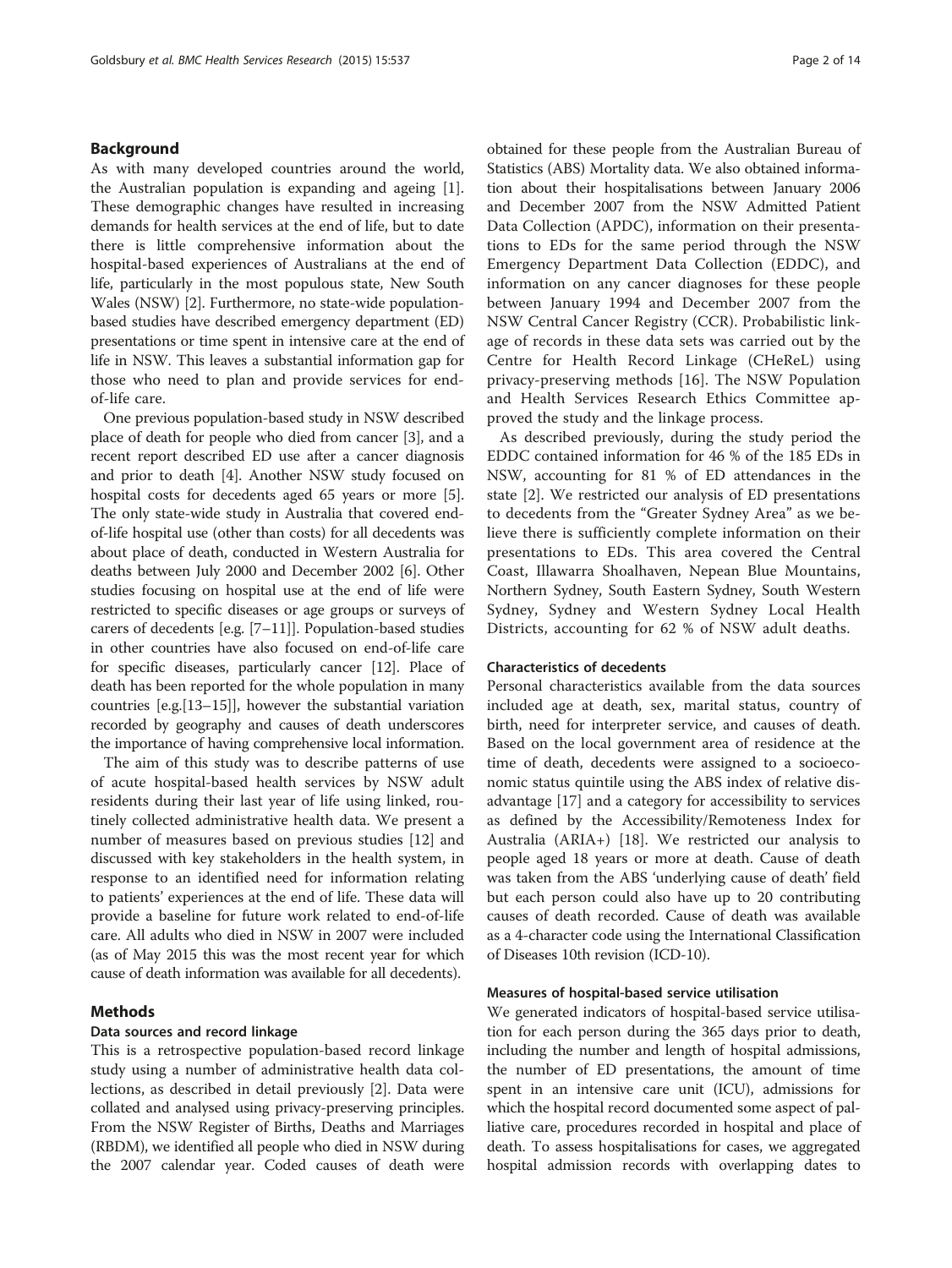#### Background

As with many developed countries around the world, the Australian population is expanding and ageing [\[1](#page-14-0)]. These demographic changes have resulted in increasing demands for health services at the end of life, but to date there is little comprehensive information about the hospital-based experiences of Australians at the end of life, particularly in the most populous state, New South Wales (NSW) [\[2](#page-14-0)]. Furthermore, no state-wide populationbased studies have described emergency department (ED) presentations or time spent in intensive care at the end of life in NSW. This leaves a substantial information gap for those who need to plan and provide services for endof-life care.

One previous population-based study in NSW described place of death for people who died from cancer [\[3](#page-14-0)], and a recent report described ED use after a cancer diagnosis and prior to death [\[4](#page-14-0)]. Another NSW study focused on hospital costs for decedents aged 65 years or more [[5](#page-14-0)]. The only state-wide study in Australia that covered endof-life hospital use (other than costs) for all decedents was about place of death, conducted in Western Australia for deaths between July 2000 and December 2002 [\[6](#page-14-0)]. Other studies focusing on hospital use at the end of life were restricted to specific diseases or age groups or surveys of carers of decedents [e.g. [\[7](#page-14-0)–[11](#page-14-0)]]. Population-based studies in other countries have also focused on end-of-life care for specific diseases, particularly cancer [\[12\]](#page-14-0). Place of death has been reported for the whole population in many countries [e.g.[\[13](#page-15-0)–[15](#page-15-0)]], however the substantial variation recorded by geography and causes of death underscores the importance of having comprehensive local information.

The aim of this study was to describe patterns of use of acute hospital-based health services by NSW adult residents during their last year of life using linked, routinely collected administrative health data. We present a number of measures based on previous studies [\[12\]](#page-14-0) and discussed with key stakeholders in the health system, in response to an identified need for information relating to patients' experiences at the end of life. These data will provide a baseline for future work related to end-of-life care. All adults who died in NSW in 2007 were included (as of May 2015 this was the most recent year for which cause of death information was available for all decedents).

#### Methods

# Data sources and record linkage

This is a retrospective population-based record linkage study using a number of administrative health data collections, as described in detail previously [[2](#page-14-0)]. Data were collated and analysed using privacy-preserving principles. From the NSW Register of Births, Deaths and Marriages (RBDM), we identified all people who died in NSW during the 2007 calendar year. Coded causes of death were

obtained for these people from the Australian Bureau of Statistics (ABS) Mortality data. We also obtained information about their hospitalisations between January 2006 and December 2007 from the NSW Admitted Patient Data Collection (APDC), information on their presentations to EDs for the same period through the NSW Emergency Department Data Collection (EDDC), and information on any cancer diagnoses for these people between January 1994 and December 2007 from the NSW Central Cancer Registry (CCR). Probabilistic linkage of records in these data sets was carried out by the Centre for Health Record Linkage (CHeReL) using privacy-preserving methods [[16](#page-15-0)]. The NSW Population and Health Services Research Ethics Committee approved the study and the linkage process.

As described previously, during the study period the EDDC contained information for 46 % of the 185 EDs in NSW, accounting for 81 % of ED attendances in the state [\[2](#page-14-0)]. We restricted our analysis of ED presentations to decedents from the "Greater Sydney Area" as we believe there is sufficiently complete information on their presentations to EDs. This area covered the Central Coast, Illawarra Shoalhaven, Nepean Blue Mountains, Northern Sydney, South Eastern Sydney, South Western Sydney, Sydney and Western Sydney Local Health Districts, accounting for 62 % of NSW adult deaths.

#### Characteristics of decedents

Personal characteristics available from the data sources included age at death, sex, marital status, country of birth, need for interpreter service, and causes of death. Based on the local government area of residence at the time of death, decedents were assigned to a socioeconomic status quintile using the ABS index of relative disadvantage [\[17](#page-15-0)] and a category for accessibility to services as defined by the Accessibility/Remoteness Index for Australia (ARIA+) [[18](#page-15-0)]. We restricted our analysis to people aged 18 years or more at death. Cause of death was taken from the ABS 'underlying cause of death' field but each person could also have up to 20 contributing causes of death recorded. Cause of death was available as a 4-character code using the International Classification of Diseases 10th revision (ICD-10).

### Measures of hospital-based service utilisation

We generated indicators of hospital-based service utilisation for each person during the 365 days prior to death, including the number and length of hospital admissions, the number of ED presentations, the amount of time spent in an intensive care unit (ICU), admissions for which the hospital record documented some aspect of palliative care, procedures recorded in hospital and place of death. To assess hospitalisations for cases, we aggregated hospital admission records with overlapping dates to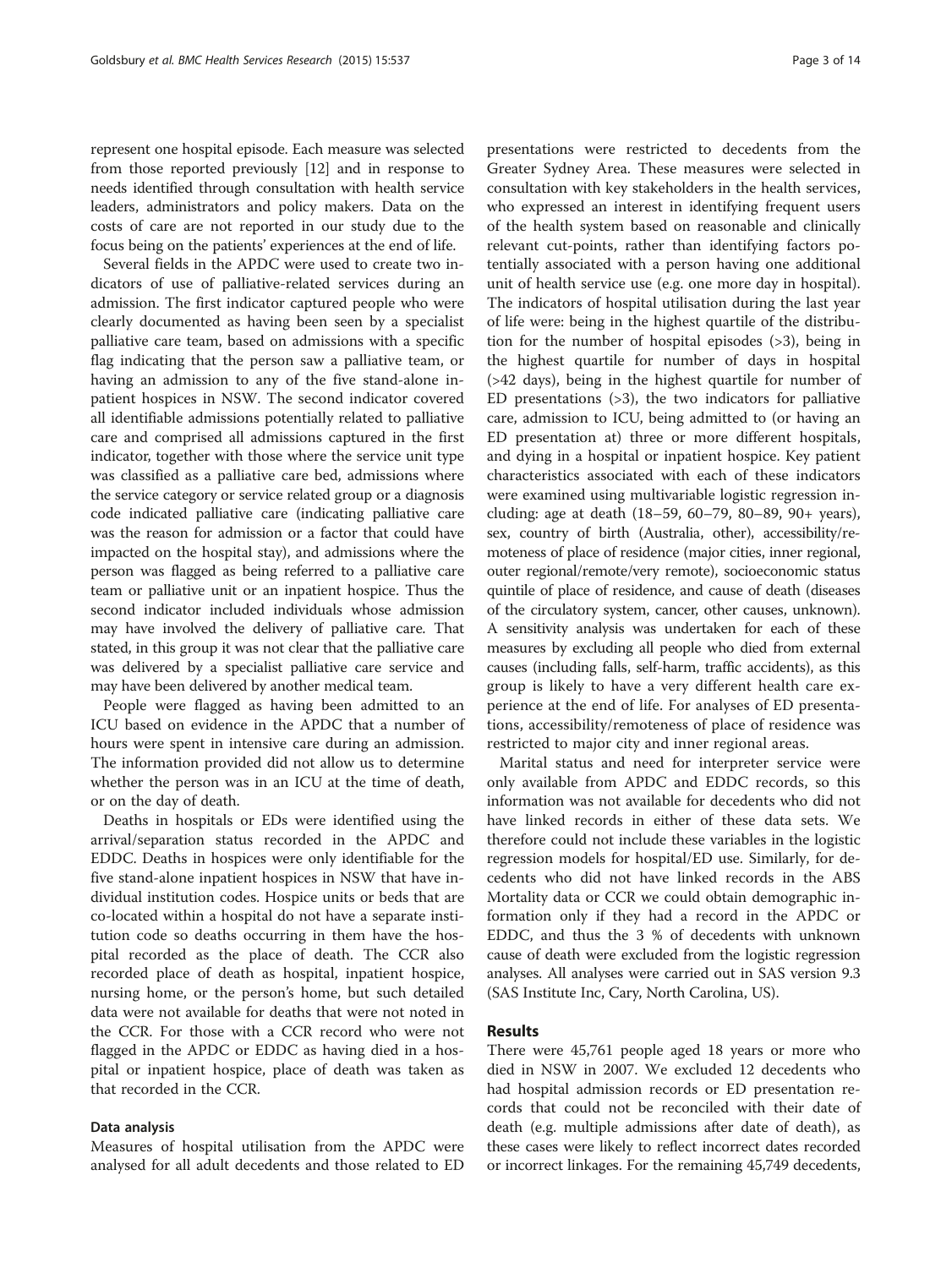represent one hospital episode. Each measure was selected from those reported previously [[12](#page-14-0)] and in response to needs identified through consultation with health service leaders, administrators and policy makers. Data on the costs of care are not reported in our study due to the focus being on the patients' experiences at the end of life.

Several fields in the APDC were used to create two indicators of use of palliative-related services during an admission. The first indicator captured people who were clearly documented as having been seen by a specialist palliative care team, based on admissions with a specific flag indicating that the person saw a palliative team, or having an admission to any of the five stand-alone inpatient hospices in NSW. The second indicator covered all identifiable admissions potentially related to palliative care and comprised all admissions captured in the first indicator, together with those where the service unit type was classified as a palliative care bed, admissions where the service category or service related group or a diagnosis code indicated palliative care (indicating palliative care was the reason for admission or a factor that could have impacted on the hospital stay), and admissions where the person was flagged as being referred to a palliative care team or palliative unit or an inpatient hospice. Thus the second indicator included individuals whose admission may have involved the delivery of palliative care. That stated, in this group it was not clear that the palliative care was delivered by a specialist palliative care service and may have been delivered by another medical team.

People were flagged as having been admitted to an ICU based on evidence in the APDC that a number of hours were spent in intensive care during an admission. The information provided did not allow us to determine whether the person was in an ICU at the time of death, or on the day of death.

Deaths in hospitals or EDs were identified using the arrival/separation status recorded in the APDC and EDDC. Deaths in hospices were only identifiable for the five stand-alone inpatient hospices in NSW that have individual institution codes. Hospice units or beds that are co-located within a hospital do not have a separate institution code so deaths occurring in them have the hospital recorded as the place of death. The CCR also recorded place of death as hospital, inpatient hospice, nursing home, or the person's home, but such detailed data were not available for deaths that were not noted in the CCR. For those with a CCR record who were not flagged in the APDC or EDDC as having died in a hospital or inpatient hospice, place of death was taken as that recorded in the CCR.

#### Data analysis

Measures of hospital utilisation from the APDC were analysed for all adult decedents and those related to ED

presentations were restricted to decedents from the Greater Sydney Area. These measures were selected in consultation with key stakeholders in the health services, who expressed an interest in identifying frequent users of the health system based on reasonable and clinically relevant cut-points, rather than identifying factors potentially associated with a person having one additional unit of health service use (e.g. one more day in hospital). The indicators of hospital utilisation during the last year of life were: being in the highest quartile of the distribution for the number of hospital episodes (>3), being in the highest quartile for number of days in hospital (>42 days), being in the highest quartile for number of ED presentations  $(>3)$ , the two indicators for palliative care, admission to ICU, being admitted to (or having an ED presentation at) three or more different hospitals, and dying in a hospital or inpatient hospice. Key patient characteristics associated with each of these indicators were examined using multivariable logistic regression including: age at death (18–59, 60–79, 80–89, 90+ years), sex, country of birth (Australia, other), accessibility/remoteness of place of residence (major cities, inner regional, outer regional/remote/very remote), socioeconomic status quintile of place of residence, and cause of death (diseases of the circulatory system, cancer, other causes, unknown). A sensitivity analysis was undertaken for each of these measures by excluding all people who died from external causes (including falls, self-harm, traffic accidents), as this group is likely to have a very different health care experience at the end of life. For analyses of ED presentations, accessibility/remoteness of place of residence was restricted to major city and inner regional areas.

Marital status and need for interpreter service were only available from APDC and EDDC records, so this information was not available for decedents who did not have linked records in either of these data sets. We therefore could not include these variables in the logistic regression models for hospital/ED use. Similarly, for decedents who did not have linked records in the ABS Mortality data or CCR we could obtain demographic information only if they had a record in the APDC or EDDC, and thus the 3 % of decedents with unknown cause of death were excluded from the logistic regression analyses. All analyses were carried out in SAS version 9.3 (SAS Institute Inc, Cary, North Carolina, US).

# Results

There were 45,761 people aged 18 years or more who died in NSW in 2007. We excluded 12 decedents who had hospital admission records or ED presentation records that could not be reconciled with their date of death (e.g. multiple admissions after date of death), as these cases were likely to reflect incorrect dates recorded or incorrect linkages. For the remaining 45,749 decedents,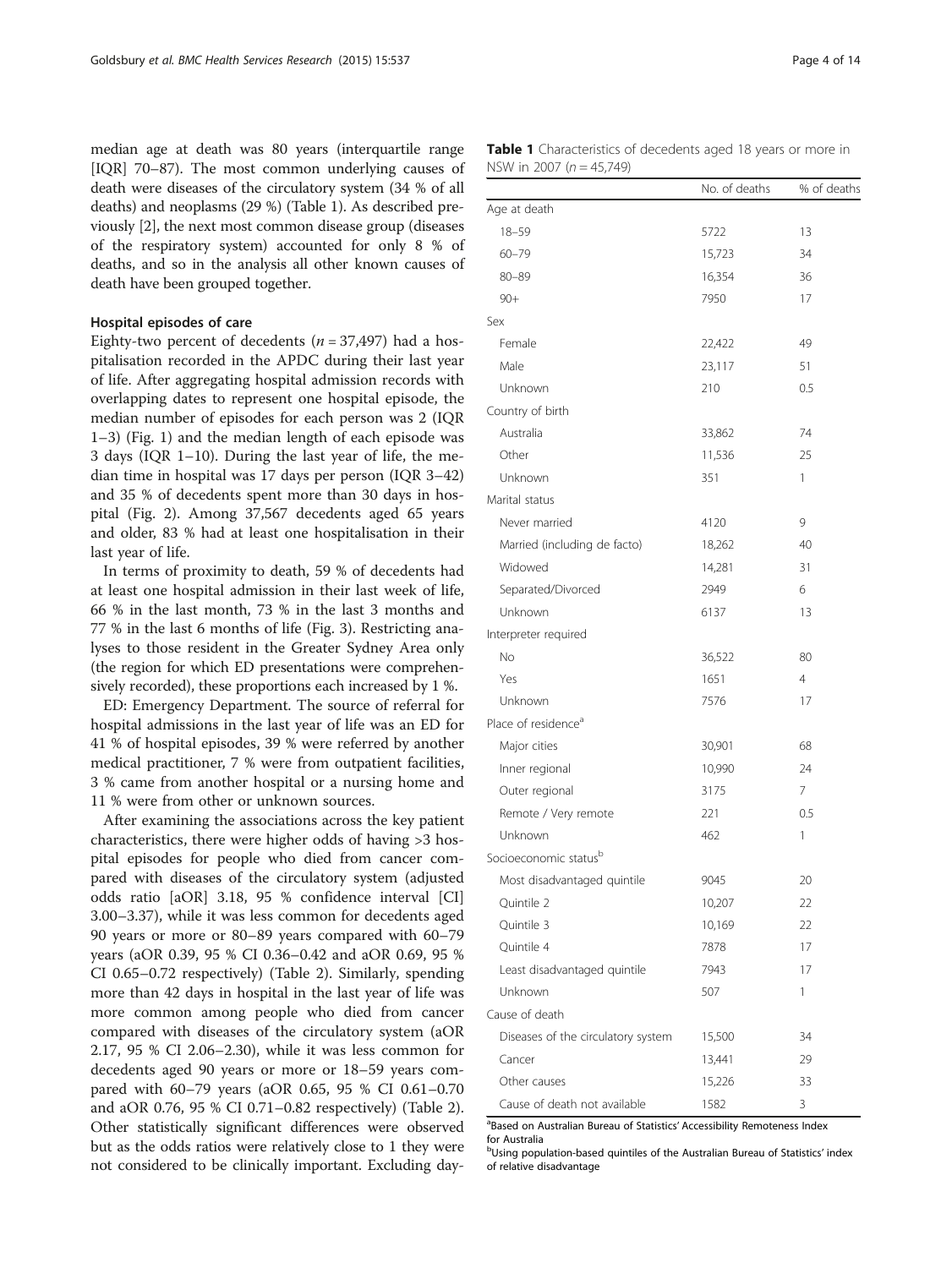median age at death was 80 years (interquartile range [IQR] 70–87). The most common underlying causes of death were diseases of the circulatory system (34 % of all deaths) and neoplasms (29 %) (Table 1). As described previously [\[2\]](#page-14-0), the next most common disease group (diseases of the respiratory system) accounted for only 8 % of deaths, and so in the analysis all other known causes of death have been grouped together.

# Hospital episodes of care

Eighty-two percent of decedents ( $n = 37,497$ ) had a hospitalisation recorded in the APDC during their last year of life. After aggregating hospital admission records with overlapping dates to represent one hospital episode, the median number of episodes for each person was 2 (IQR 1–3) (Fig. [1\)](#page-6-0) and the median length of each episode was 3 days (IQR 1–10). During the last year of life, the median time in hospital was 17 days per person (IQR 3–42) and 35 % of decedents spent more than 30 days in hospital (Fig. [2](#page-6-0)). Among 37,567 decedents aged 65 years and older, 83 % had at least one hospitalisation in their last year of life.

In terms of proximity to death, 59 % of decedents had at least one hospital admission in their last week of life, 66 % in the last month, 73 % in the last 3 months and 77 % in the last 6 months of life (Fig. [3](#page-7-0)). Restricting analyses to those resident in the Greater Sydney Area only (the region for which ED presentations were comprehensively recorded), these proportions each increased by 1 %.

ED: Emergency Department. The source of referral for hospital admissions in the last year of life was an ED for 41 % of hospital episodes, 39 % were referred by another medical practitioner, 7 % were from outpatient facilities, 3 % came from another hospital or a nursing home and 11 % were from other or unknown sources.

After examining the associations across the key patient characteristics, there were higher odds of having >3 hospital episodes for people who died from cancer compared with diseases of the circulatory system (adjusted odds ratio [aOR] 3.18, 95 % confidence interval [CI] 3.00–3.37), while it was less common for decedents aged 90 years or more or 80–89 years compared with 60–79 years (aOR 0.39, 95 % CI 0.36–0.42 and aOR 0.69, 95 % CI 0.65–0.72 respectively) (Table [2\)](#page-8-0). Similarly, spending more than 42 days in hospital in the last year of life was more common among people who died from cancer compared with diseases of the circulatory system (aOR 2.17, 95 % CI 2.06–2.30), while it was less common for decedents aged 90 years or more or 18–59 years compared with 60–79 years (aOR 0.65, 95 % CI 0.61–0.70 and aOR 0.76, 95 % CI 0.71–0.82 respectively) (Table [2](#page-8-0)). Other statistically significant differences were observed but as the odds ratios were relatively close to 1 they were not considered to be clinically important. Excluding day-

| <b>Table 1</b> Characteristics of decedents aged 18 years or more in |  |  |
|----------------------------------------------------------------------|--|--|
| NSW in 2007 ( $n = 45,749$ )                                         |  |  |

|                                    | No. of deaths | % of deaths |
|------------------------------------|---------------|-------------|
| Age at death                       |               |             |
| $18 - 59$                          | 5722          | 13          |
| $60 - 79$                          | 15,723        | 34          |
| $80 - 89$                          | 16,354        | 36          |
| $90+$                              | 7950          | 17          |
| Sex                                |               |             |
| Female                             | 22,422        | 49          |
| Male                               | 23,117        | 51          |
| Unknown                            | 210           | 0.5         |
| Country of birth                   |               |             |
| Australia                          | 33,862        | 74          |
| Other                              | 11,536        | 25          |
| Unknown                            | 351           | 1           |
| Marital status                     |               |             |
| Never married                      | 4120          | 9           |
| Married (including de facto)       | 18,262        | 40          |
| Widowed                            | 14,281        | 31          |
| Separated/Divorced                 | 2949          | 6           |
| Unknown                            | 6137          | 13          |
| Interpreter required               |               |             |
| No                                 | 36,522        | 80          |
| Yes                                | 1651          | 4           |
| Unknown                            | 7576          | 17          |
| Place of residence <sup>a</sup>    |               |             |
| Major cities                       | 30,901        | 68          |
| Inner regional                     | 10,990        | 24          |
| Outer regional                     | 3175          | 7           |
| Remote / Very remote               | 221           | 0.5         |
| Unknown                            | 462           | 1           |
| Socioeconomic status <sup>b</sup>  |               |             |
| Most disadvantaged quintile        | 9045          | 20          |
| Quintile 2                         | 10,207        | 22          |
| Quintile 3                         | 10,169        | 22          |
| Quintile 4                         | 7878          | 17          |
| Least disadvantaged quintile       | 7943          | 17          |
| Unknown                            | 507           | 1           |
| Cause of death                     |               |             |
| Diseases of the circulatory system | 15,500        | 34          |
| Cancer                             | 13,441        | 29          |
| Other causes                       | 15,226        | 33          |
| Cause of death not available       | 1582          | 3           |

for Australia

bUsing population-based quintiles of the Australian Bureau of Statistics' index of relative disadvantage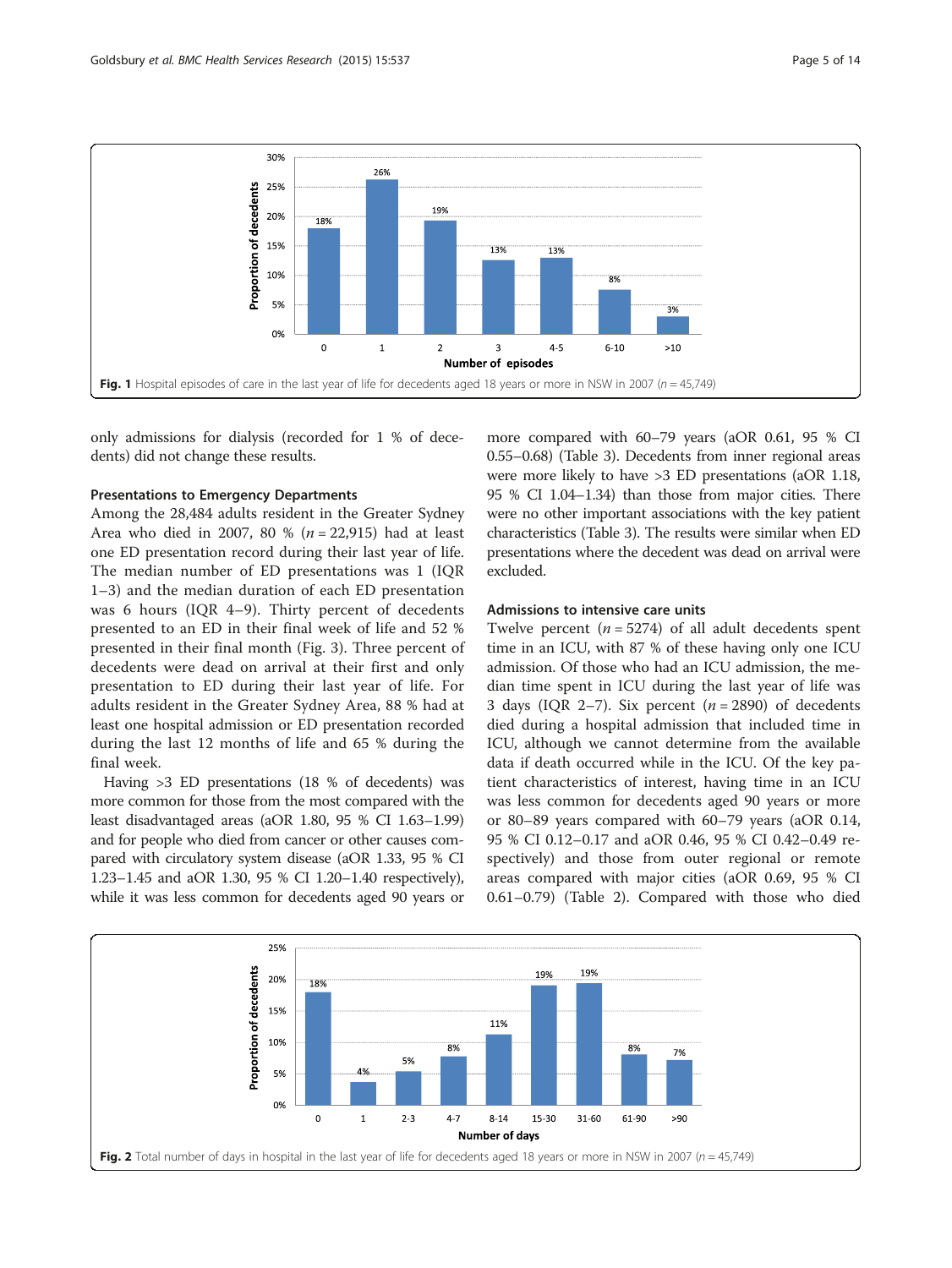<span id="page-6-0"></span>

only admissions for dialysis (recorded for 1 % of decedents) did not change these results.

#### Presentations to Emergency Departments

Among the 28,484 adults resident in the Greater Sydney Area who died in 2007, 80 % ( $n = 22,915$ ) had at least one ED presentation record during their last year of life. The median number of ED presentations was 1 (IQR 1–3) and the median duration of each ED presentation was 6 hours (IQR 4–9). Thirty percent of decedents presented to an ED in their final week of life and 52 % presented in their final month (Fig. [3\)](#page-7-0). Three percent of decedents were dead on arrival at their first and only presentation to ED during their last year of life. For adults resident in the Greater Sydney Area, 88 % had at least one hospital admission or ED presentation recorded during the last 12 months of life and 65 % during the final week.

Having >3 ED presentations (18 % of decedents) was more common for those from the most compared with the least disadvantaged areas (aOR 1.80, 95 % CI 1.63–1.99) and for people who died from cancer or other causes compared with circulatory system disease (aOR 1.33, 95 % CI 1.23–1.45 and aOR 1.30, 95 % CI 1.20–1.40 respectively), while it was less common for decedents aged 90 years or

more compared with 60–79 years (aOR 0.61, 95 % CI 0.55–0.68) (Table [3\)](#page-9-0). Decedents from inner regional areas were more likely to have >3 ED presentations (aOR 1.18, 95 % CI 1.04–1.34) than those from major cities. There were no other important associations with the key patient characteristics (Table [3\)](#page-9-0). The results were similar when ED presentations where the decedent was dead on arrival were excluded.

# Admissions to intensive care units

Twelve percent  $(n = 5274)$  of all adult decedents spent time in an ICU, with 87 % of these having only one ICU admission. Of those who had an ICU admission, the median time spent in ICU during the last year of life was 3 days (IOR 2–7). Six percent  $(n = 2890)$  of decedents died during a hospital admission that included time in ICU, although we cannot determine from the available data if death occurred while in the ICU. Of the key patient characteristics of interest, having time in an ICU was less common for decedents aged 90 years or more or 80–89 years compared with 60–79 years (aOR 0.14, 95 % CI 0.12–0.17 and aOR 0.46, 95 % CI 0.42–0.49 respectively) and those from outer regional or remote areas compared with major cities (aOR 0.69, 95 % CI 0.61–0.79) (Table [2\)](#page-8-0). Compared with those who died

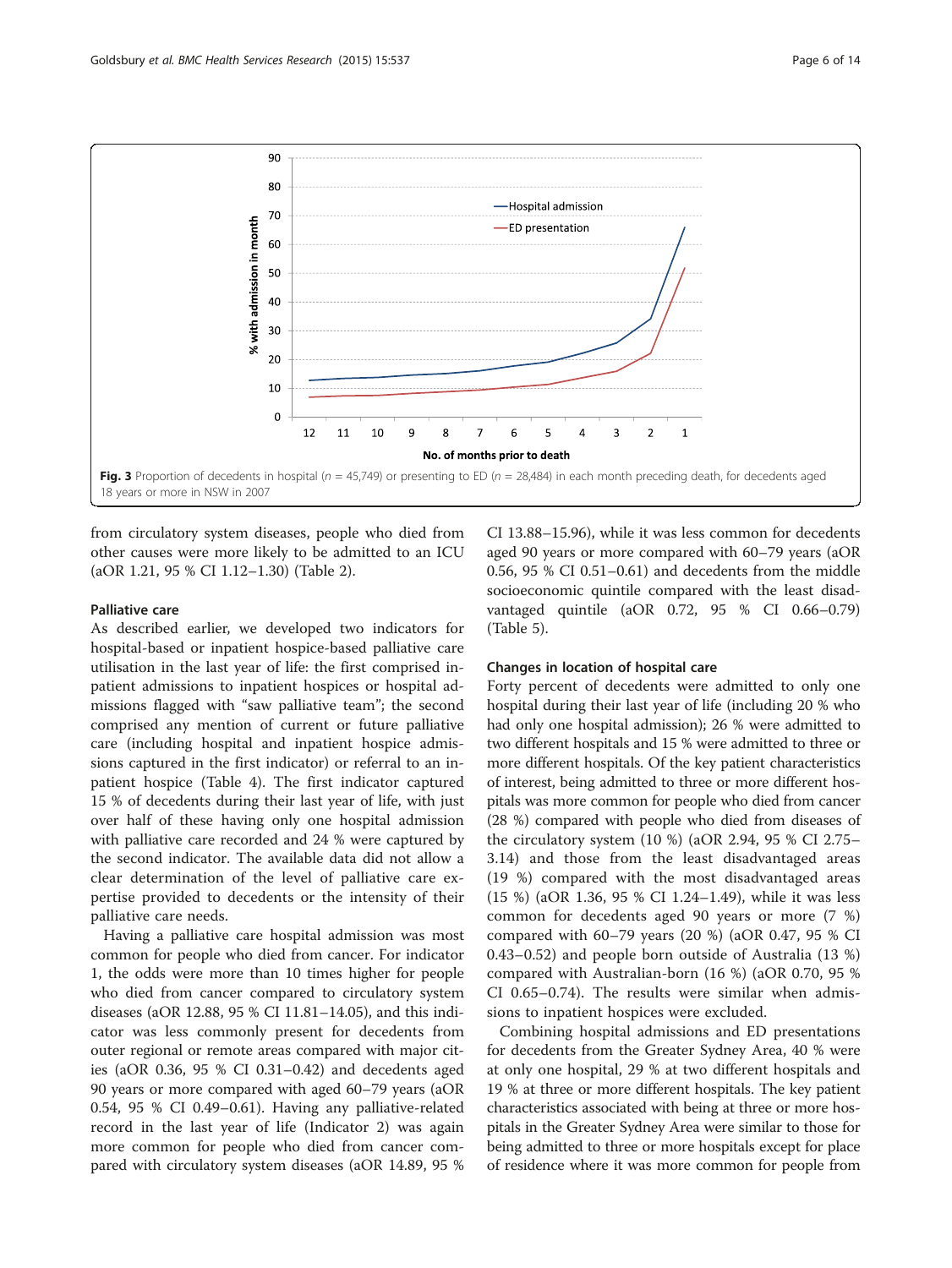<span id="page-7-0"></span>

from circulatory system diseases, people who died from other causes were more likely to be admitted to an ICU (aOR 1.21, 95 % CI 1.12–1.30) (Table [2](#page-8-0)).

# Palliative care

As described earlier, we developed two indicators for hospital-based or inpatient hospice-based palliative care utilisation in the last year of life: the first comprised inpatient admissions to inpatient hospices or hospital admissions flagged with "saw palliative team"; the second comprised any mention of current or future palliative care (including hospital and inpatient hospice admissions captured in the first indicator) or referral to an inpatient hospice (Table [4\)](#page-10-0). The first indicator captured 15 % of decedents during their last year of life, with just over half of these having only one hospital admission with palliative care recorded and 24 % were captured by the second indicator. The available data did not allow a clear determination of the level of palliative care expertise provided to decedents or the intensity of their palliative care needs.

Having a palliative care hospital admission was most common for people who died from cancer. For indicator 1, the odds were more than 10 times higher for people who died from cancer compared to circulatory system diseases (aOR 12.88, 95 % CI 11.81–14.05), and this indicator was less commonly present for decedents from outer regional or remote areas compared with major cities (aOR 0.36, 95 % CI 0.31–0.42) and decedents aged 90 years or more compared with aged 60–79 years (aOR 0.54, 95 % CI 0.49–0.61). Having any palliative-related record in the last year of life (Indicator 2) was again more common for people who died from cancer compared with circulatory system diseases (aOR 14.89, 95 %

CI 13.88–15.96), while it was less common for decedents aged 90 years or more compared with 60–79 years (aOR 0.56, 95 % CI 0.51–0.61) and decedents from the middle socioeconomic quintile compared with the least disadvantaged quintile (aOR 0.72, 95 % CI 0.66–0.79) (Table [5\)](#page-11-0).

### Changes in location of hospital care

Forty percent of decedents were admitted to only one hospital during their last year of life (including 20 % who had only one hospital admission); 26 % were admitted to two different hospitals and 15 % were admitted to three or more different hospitals. Of the key patient characteristics of interest, being admitted to three or more different hospitals was more common for people who died from cancer (28 %) compared with people who died from diseases of the circulatory system (10 %) (aOR 2.94, 95 % CI 2.75– 3.14) and those from the least disadvantaged areas (19 %) compared with the most disadvantaged areas (15 %) (aOR 1.36, 95 % CI 1.24–1.49), while it was less common for decedents aged 90 years or more (7 %) compared with 60–79 years (20 %) (aOR 0.47, 95 % CI 0.43–0.52) and people born outside of Australia (13 %) compared with Australian-born (16 %) (aOR 0.70, 95 % CI 0.65–0.74). The results were similar when admissions to inpatient hospices were excluded.

Combining hospital admissions and ED presentations for decedents from the Greater Sydney Area, 40 % were at only one hospital, 29 % at two different hospitals and 19 % at three or more different hospitals. The key patient characteristics associated with being at three or more hospitals in the Greater Sydney Area were similar to those for being admitted to three or more hospitals except for place of residence where it was more common for people from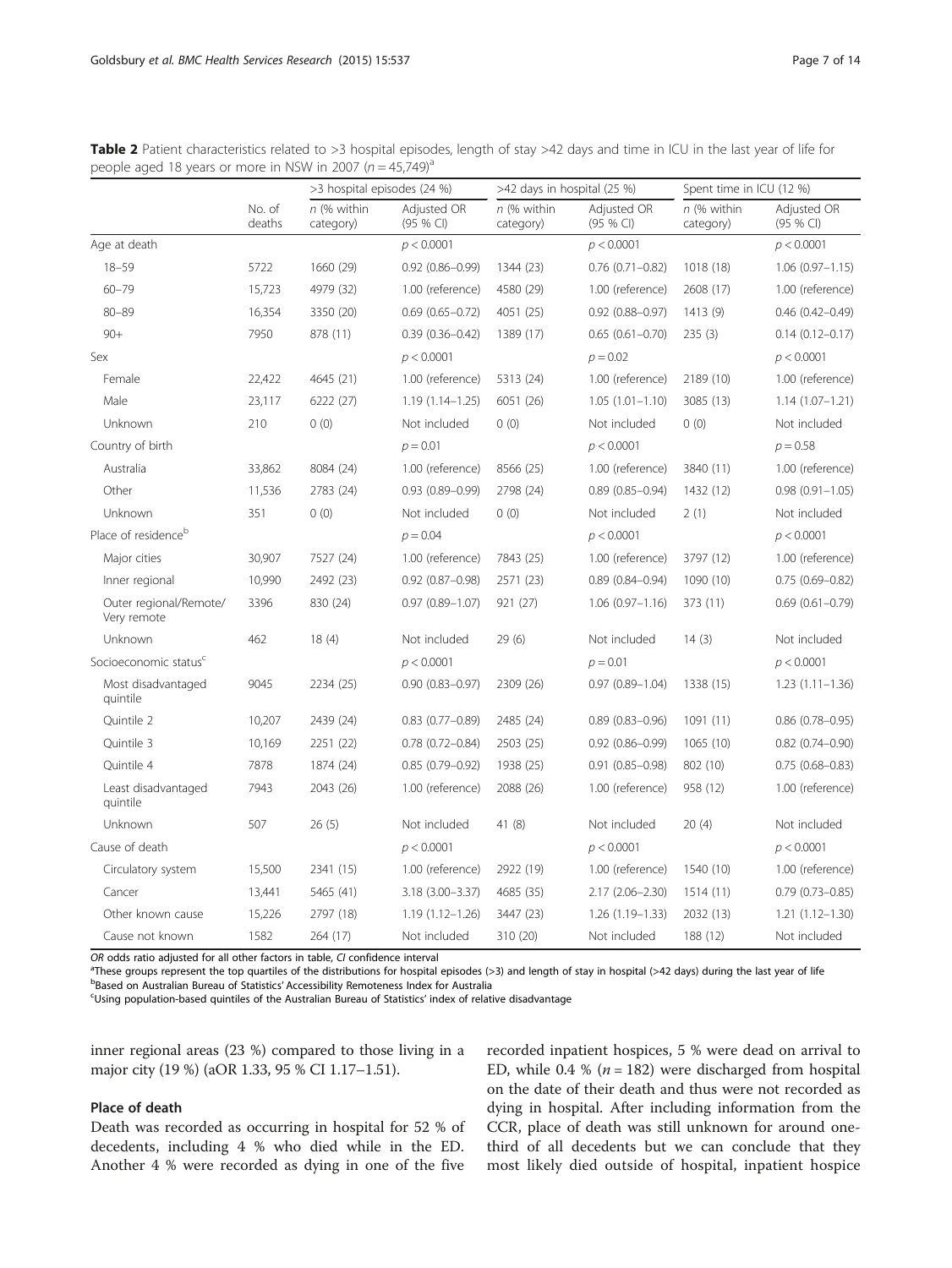|                                       |                  | >3 hospital episodes (24 %) |                          | >42 days in hospital (25 %) |                          | Spent time in ICU (12 %)        |                          |  |
|---------------------------------------|------------------|-----------------------------|--------------------------|-----------------------------|--------------------------|---------------------------------|--------------------------|--|
|                                       | No. of<br>deaths | $n$ (% within<br>category)  | Adjusted OR<br>(95 % CI) | $n$ (% within<br>category)  | Adjusted OR<br>(95 % CI) | $n$ (% within<br>category)      | Adjusted OR<br>(95 % CI) |  |
| Age at death                          |                  |                             | p < 0.0001               |                             | p < 0.0001               |                                 | p < 0.0001               |  |
| $18 - 59$                             | 5722             | 1660 (29)                   | $0.92$ $(0.86 - 0.99)$   | 1344 (23)                   | $0.76$ $(0.71 - 0.82)$   | 1018 (18)                       | $1.06(0.97 - 1.15)$      |  |
| $60 - 79$                             | 15,723           | 4979 (32)                   | 1.00 (reference)         | 4580 (29)                   | 1.00 (reference)         | 2608 (17)                       | 1.00 (reference)         |  |
| $80 - 89$                             | 16,354           | 3350 (20)                   | $0.69(0.65 - 0.72)$      | 4051 (25)                   | $0.92$ $(0.88 - 0.97)$   | 1413 (9)                        | $0.46$ $(0.42 - 0.49)$   |  |
| $90 +$                                | 7950             | 878 (11)                    | $0.39(0.36 - 0.42)$      | 1389 (17)                   | $0.65(0.61 - 0.70)$      | 235(3)                          | $0.14(0.12 - 0.17)$      |  |
| Sex                                   |                  |                             | p < 0.0001               |                             | $p = 0.02$               |                                 | p < 0.0001               |  |
| Female                                | 22,422           | 4645 (21)                   | 1.00 (reference)         | 5313 (24)                   | 1.00 (reference)         |                                 | 1.00 (reference)         |  |
| Male                                  | 23,117           | 6222 (27)                   | $1.19(1.14 - 1.25)$      | 6051 (26)                   | $1.05(1.01 - 1.10)$      | 3085 (13)                       | $1.14(1.07 - 1.21)$      |  |
| Unknown                               | 210              | 0(0)                        | Not included             | 0(0)                        | Not included             | 0(0)                            | Not included             |  |
| Country of birth                      |                  |                             | $p = 0.01$               |                             | p < 0.0001               |                                 | $p = 0.58$               |  |
| Australia                             | 33,862           | 8084 (24)                   | 1.00 (reference)         | 8566 (25)                   | 1.00 (reference)         | 3840 (11)                       | 1.00 (reference)         |  |
| Other                                 | 11,536           | 2783 (24)                   | $0.93(0.89 - 0.99)$      | 2798 (24)                   | $0.89(0.85 - 0.94)$      | 1432 (12)                       | $0.98(0.91 - 1.05)$      |  |
| Unknown                               | 351              | 0(0)                        | Not included             | 0(0)                        | Not included             | 2(1)                            | Not included             |  |
| Place of residence <sup>b</sup>       |                  |                             | $p = 0.04$               |                             | p < 0.0001               |                                 | p < 0.0001               |  |
| Major cities                          | 30,907           | 7527 (24)                   | 1.00 (reference)         | 7843 (25)                   | 1.00 (reference)         | 3797 (12)                       | 1.00 (reference)         |  |
| Inner regional                        | 10,990           | 2492 (23)                   | $0.92$ $(0.87 - 0.98)$   | 2571 (23)                   | $0.89(0.84 - 0.94)$      | 1090 (10)                       | $0.75(0.69 - 0.82)$      |  |
| Outer regional/Remote/<br>Very remote | 3396             | 830 (24)                    | $0.97(0.89 - 1.07)$      | 921 (27)                    | $1.06(0.97 - 1.16)$      | 373 (11)                        | $0.69$ $(0.61 - 0.79)$   |  |
| Unknown                               | 462              | 18(4)                       | Not included             | 29(6)                       | Not included             | 14(3)                           | Not included             |  |
| Socioeconomic status <sup>c</sup>     |                  |                             | p < 0.0001               |                             | $p = 0.01$               |                                 | p < 0.0001               |  |
| Most disadvantaged<br>quintile        | 9045             | 2234 (25)                   | $0.90(0.83 - 0.97)$      | 2309 (26)                   | $0.97(0.89 - 1.04)$      | 1338 (15)                       | $1.23(1.11 - 1.36)$      |  |
| Quintile 2                            | 10,207           | 2439 (24)                   | $0.83$ $(0.77 - 0.89)$   | 2485 (24)                   | $0.89(0.83 - 0.96)$      | 1091 (11)                       | $0.86$ (0.78-0.95)       |  |
| Quintile 3                            | 10,169           | 2251 (22)                   | $0.78$ $(0.72 - 0.84)$   | 2503 (25)                   | $0.92$ $(0.86 - 0.99)$   | 1065 (10)                       | $0.82$ (0.74-0.90)       |  |
| Ouintile 4                            | 7878             | 1874 (24)                   | $0.85(0.79 - 0.92)$      | 1938 (25)                   | $0.91(0.85 - 0.98)$      | 802 (10)                        | $0.75(0.68 - 0.83)$      |  |
| Least disadvantaged<br>quintile       | 7943             | 2043 (26)                   | 1.00 (reference)         | 2088 (26)                   | 1.00 (reference)         | 958 (12)                        | 1.00 (reference)         |  |
| Unknown                               | 507              | 26(5)                       | Not included             | 41 $(8)$                    | Not included             | 20(4)                           | Not included             |  |
| Cause of death                        |                  |                             | p < 0.0001               |                             | p < 0.0001               |                                 | p < 0.0001               |  |
| Circulatory system                    | 15,500           | 2341 (15)                   | 1.00 (reference)         | 2922 (19)                   | 1.00 (reference)         | 1540 (10)                       | 1.00 (reference)         |  |
| Cancer                                | 13,441           | 5465 (41)                   | 3.18 (3.00-3.37)         | 4685 (35)                   | 2.17 (2.06-2.30)         | $0.79(0.73 - 0.85)$<br>1514(11) |                          |  |
| Other known cause                     | 15,226           | 2797 (18)                   | $1.19(1.12 - 1.26)$      | 3447 (23)                   | 1.26 (1.19-1.33)         | 2032 (13)                       | $1.21(1.12 - 1.30)$      |  |
| Cause not known                       | 1582             | 264 (17)                    | Not included             | 310 (20)                    | Not included             | 188 (12)                        | Not included             |  |

<span id="page-8-0"></span>Table 2 Patient characteristics related to >3 hospital episodes, length of stay >42 days and time in ICU in the last year of life for people aged 18 years or more in NSW in 2007 ( $n = 45,749$ )<sup>a</sup>

OR odds ratio adjusted for all other factors in table, CI confidence interval

<sup>a</sup>These groups represent the top quartiles of the distributions for hospital episodes (>3) and length of stay in hospital (>42 days) during the last year of life

**bBased on Australian Bureau of Statistics' Accessibility Remoteness Index for Australia** Using population-based quintiles of the Australian Bureau of Statistics' index of relative disadvantage

inner regional areas (23 %) compared to those living in a major city (19 %) (aOR 1.33, 95 % CI 1.17–1.51).

## Place of death

Death was recorded as occurring in hospital for 52 % of decedents, including 4 % who died while in the ED. Another 4 % were recorded as dying in one of the five

recorded inpatient hospices, 5 % were dead on arrival to ED, while 0.4 % ( $n = 182$ ) were discharged from hospital on the date of their death and thus were not recorded as dying in hospital. After including information from the CCR, place of death was still unknown for around onethird of all decedents but we can conclude that they most likely died outside of hospital, inpatient hospice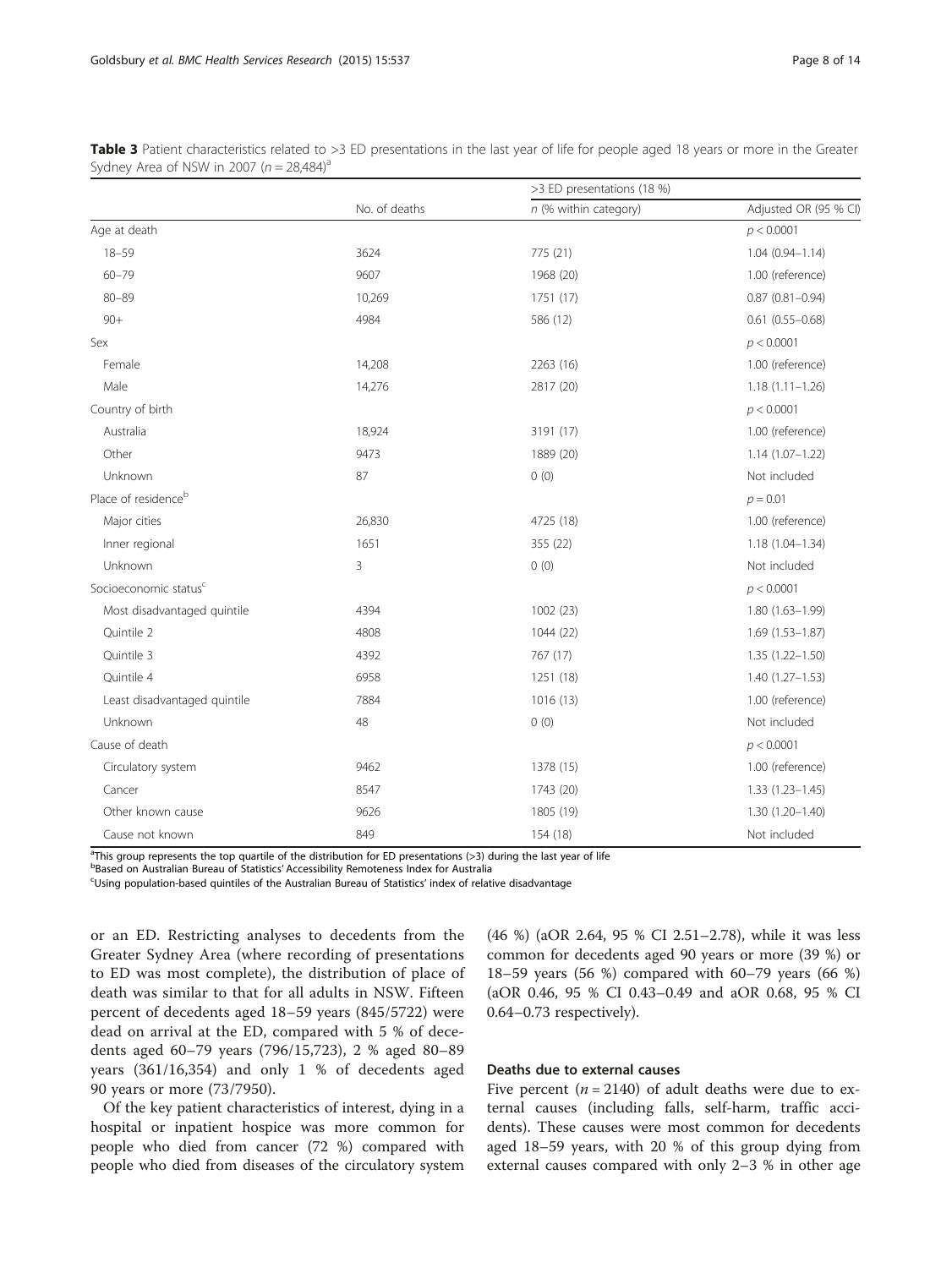|                                   |                | >3 ED presentations (18 %) |                       |  |  |
|-----------------------------------|----------------|----------------------------|-----------------------|--|--|
|                                   | No. of deaths  | n (% within category)      | Adjusted OR (95 % CI) |  |  |
| Age at death                      |                |                            | p < 0.0001            |  |  |
| $18 - 59$                         | 3624           | 775 (21)                   | $1.04(0.94 - 1.14)$   |  |  |
| $60 - 79$                         | 9607           | 1968 (20)                  | 1.00 (reference)      |  |  |
| $80 - 89$                         | 10,269         | 1751 (17)                  | $0.87(0.81 - 0.94)$   |  |  |
| $90+$                             | 4984           | 586 (12)                   | $0.61(0.55 - 0.68)$   |  |  |
| Sex                               |                |                            | p < 0.0001            |  |  |
| Female                            | 14,208         | 2263 (16)                  | 1.00 (reference)      |  |  |
| Male                              | 14,276         | 2817 (20)                  | $1.18(1.11 - 1.26)$   |  |  |
| Country of birth                  |                |                            | p < 0.0001            |  |  |
| Australia                         | 18,924         | 3191 (17)                  | 1.00 (reference)      |  |  |
| Other                             | 9473           | 1889 (20)                  | $1.14(1.07 - 1.22)$   |  |  |
| Unknown                           | 87             | 0(0)                       | Not included          |  |  |
| Place of residence <sup>b</sup>   |                |                            | $p = 0.01$            |  |  |
| Major cities                      | 26,830         | 4725 (18)                  | 1.00 (reference)      |  |  |
| Inner regional                    | 1651           | 355 (22)                   | $1.18(1.04 - 1.34)$   |  |  |
| Unknown                           | $\overline{3}$ | 0(0)                       | Not included          |  |  |
| Socioeconomic status <sup>c</sup> |                |                            | p < 0.0001            |  |  |
| Most disadvantaged quintile       | 4394           | 1002 (23)                  | 1.80 (1.63-1.99)      |  |  |
| Quintile 2                        | 4808           | 1044 (22)                  | $1.69(1.53 - 1.87)$   |  |  |
| Quintile 3                        | 4392           | 767 (17)                   | $1.35(1.22 - 1.50)$   |  |  |
| Quintile 4                        | 6958           | 1251 (18)                  | $1.40(1.27 - 1.53)$   |  |  |
| Least disadvantaged quintile      | 7884           | 1016 (13)                  | 1.00 (reference)      |  |  |
| Unknown                           | 48             | 0(0)                       | Not included          |  |  |
| Cause of death                    |                |                            | p < 0.0001            |  |  |
| Circulatory system                | 9462           | 1378 (15)                  | 1.00 (reference)      |  |  |
| Cancer                            | 8547           | 1743 (20)                  | $1.33(1.23 - 1.45)$   |  |  |
| Other known cause                 | 9626           | 1805 (19)                  | $1.30(1.20 - 1.40)$   |  |  |
| Cause not known                   | 849            | 154 (18)                   | Not included          |  |  |

<span id="page-9-0"></span>Table 3 Patient characteristics related to >3 ED presentations in the last year of life for people aged 18 years or more in the Greater Sydney Area of NSW in 2007 ( $n = 28,484$ )<sup>a</sup>

<sup>a</sup>This group represents the top quartile of the distribution for ED presentations (>3) during the last year of life

b<br>Based on Australian Bureau of Statistics' Accessibility Remoteness Index for Australia<br>Statistics' index of relation based quintiles of the Australian Bureau of Statistics' index of relati

Using population-based quintiles of the Australian Bureau of Statistics' index of relative disadvantage

or an ED. Restricting analyses to decedents from the Greater Sydney Area (where recording of presentations to ED was most complete), the distribution of place of death was similar to that for all adults in NSW. Fifteen percent of decedents aged 18–59 years (845/5722) were dead on arrival at the ED, compared with 5 % of decedents aged 60–79 years (796/15,723), 2 % aged 80–89 years (361/16,354) and only 1 % of decedents aged 90 years or more (73/7950).

Of the key patient characteristics of interest, dying in a hospital or inpatient hospice was more common for people who died from cancer (72 %) compared with people who died from diseases of the circulatory system (46 %) (aOR 2.64, 95 % CI 2.51–2.78), while it was less common for decedents aged 90 years or more (39 %) or 18–59 years (56 %) compared with 60–79 years (66 %) (aOR 0.46, 95 % CI 0.43–0.49 and aOR 0.68, 95 % CI 0.64–0.73 respectively).

# Deaths due to external causes

Five percent ( $n = 2140$ ) of adult deaths were due to external causes (including falls, self-harm, traffic accidents). These causes were most common for decedents aged 18–59 years, with 20 % of this group dying from external causes compared with only 2–3 % in other age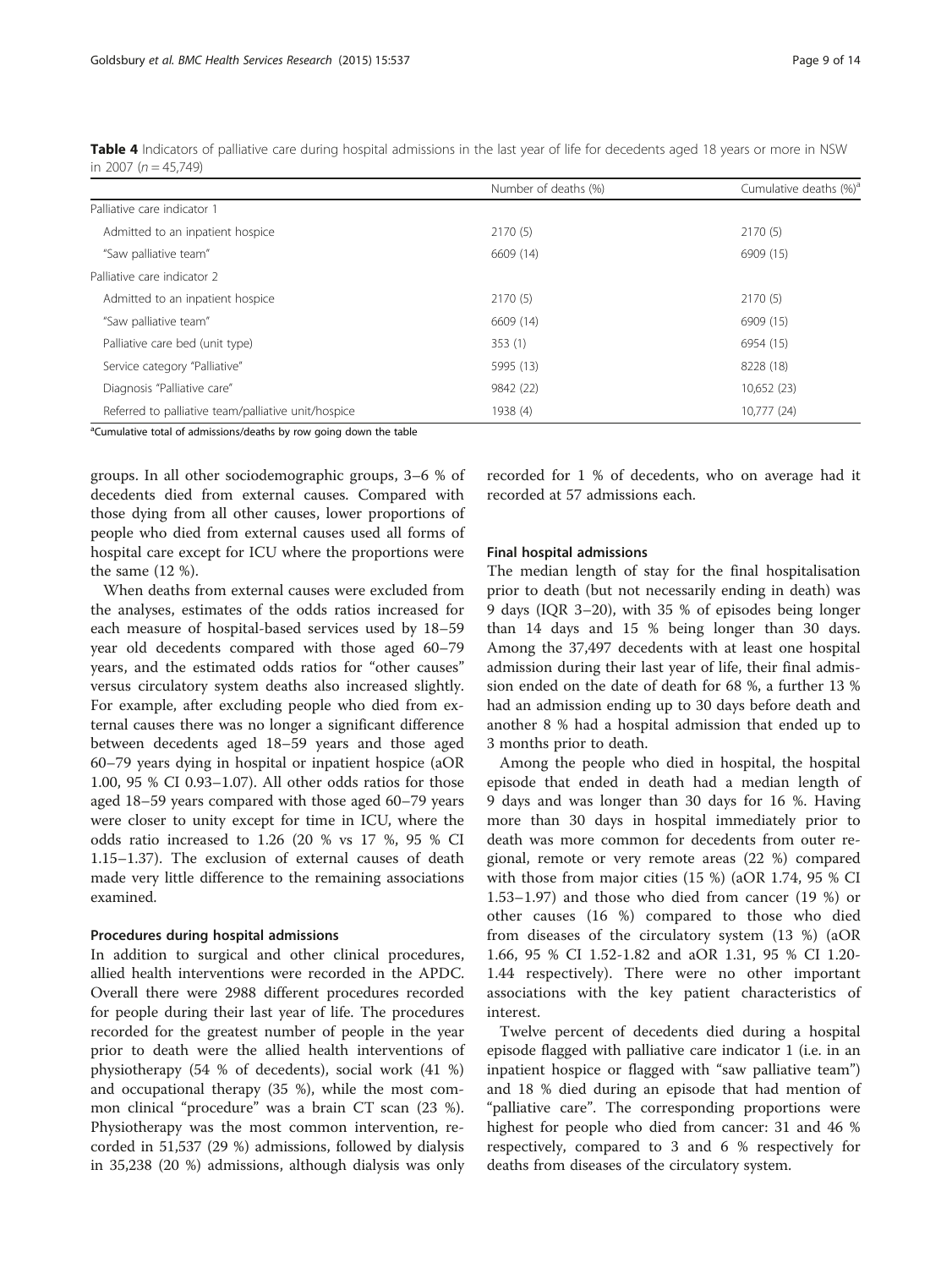|                                                     | Number of deaths (%) | Cumulative deaths (%) <sup>d</sup> |
|-----------------------------------------------------|----------------------|------------------------------------|
| Palliative care indicator 1                         |                      |                                    |
| Admitted to an inpatient hospice                    | 2170(5)              | 2170(5)                            |
| "Saw palliative team"                               | 6609 (14)            | 6909 (15)                          |
| Palliative care indicator 2                         |                      |                                    |
| Admitted to an inpatient hospice                    | 2170(5)              | 2170(5)                            |
| "Saw palliative team"                               | 6609 (14)            | 6909 (15)                          |
| Palliative care bed (unit type)                     | 353(1)               | 6954 (15)                          |
| Service category "Palliative"                       | 5995 (13)            | 8228 (18)                          |
| Diagnosis "Palliative care"                         | 9842 (22)            | 10,652 (23)                        |
| Referred to palliative team/palliative unit/hospice | 1938 (4)             | 10,777 (24)                        |

<span id="page-10-0"></span>Table 4 Indicators of palliative care during hospital admissions in the last year of life for decedents aged 18 years or more in NSW in 2007 ( $n = 45.749$ )

<sup>a</sup>Cumulative total of admissions/deaths by row going down the table

groups. In all other sociodemographic groups, 3–6 % of decedents died from external causes. Compared with those dying from all other causes, lower proportions of people who died from external causes used all forms of hospital care except for ICU where the proportions were the same (12 %).

When deaths from external causes were excluded from the analyses, estimates of the odds ratios increased for each measure of hospital-based services used by 18–59 year old decedents compared with those aged 60–79 years, and the estimated odds ratios for "other causes" versus circulatory system deaths also increased slightly. For example, after excluding people who died from external causes there was no longer a significant difference between decedents aged 18–59 years and those aged 60–79 years dying in hospital or inpatient hospice (aOR 1.00, 95 % CI 0.93–1.07). All other odds ratios for those aged 18–59 years compared with those aged 60–79 years were closer to unity except for time in ICU, where the odds ratio increased to 1.26 (20 % vs 17 %, 95 % CI 1.15–1.37). The exclusion of external causes of death made very little difference to the remaining associations examined.

#### Procedures during hospital admissions

In addition to surgical and other clinical procedures, allied health interventions were recorded in the APDC. Overall there were 2988 different procedures recorded for people during their last year of life. The procedures recorded for the greatest number of people in the year prior to death were the allied health interventions of physiotherapy (54 % of decedents), social work (41 %) and occupational therapy (35 %), while the most common clinical "procedure" was a brain CT scan (23 %). Physiotherapy was the most common intervention, recorded in 51,537 (29 %) admissions, followed by dialysis in 35,238 (20 %) admissions, although dialysis was only recorded for 1 % of decedents, who on average had it recorded at 57 admissions each.

#### Final hospital admissions

The median length of stay for the final hospitalisation prior to death (but not necessarily ending in death) was 9 days (IQR 3–20), with 35 % of episodes being longer than 14 days and 15 % being longer than 30 days. Among the 37,497 decedents with at least one hospital admission during their last year of life, their final admission ended on the date of death for 68 %, a further 13 % had an admission ending up to 30 days before death and another 8 % had a hospital admission that ended up to 3 months prior to death.

Among the people who died in hospital, the hospital episode that ended in death had a median length of 9 days and was longer than 30 days for 16 %. Having more than 30 days in hospital immediately prior to death was more common for decedents from outer regional, remote or very remote areas (22 %) compared with those from major cities (15 %) (aOR 1.74, 95 % CI 1.53–1.97) and those who died from cancer (19 %) or other causes (16 %) compared to those who died from diseases of the circulatory system (13 %) (aOR 1.66, 95 % CI 1.52-1.82 and aOR 1.31, 95 % CI 1.20- 1.44 respectively). There were no other important associations with the key patient characteristics of interest.

Twelve percent of decedents died during a hospital episode flagged with palliative care indicator 1 (i.e. in an inpatient hospice or flagged with "saw palliative team") and 18 % died during an episode that had mention of "palliative care". The corresponding proportions were highest for people who died from cancer: 31 and 46 % respectively, compared to 3 and 6 % respectively for deaths from diseases of the circulatory system.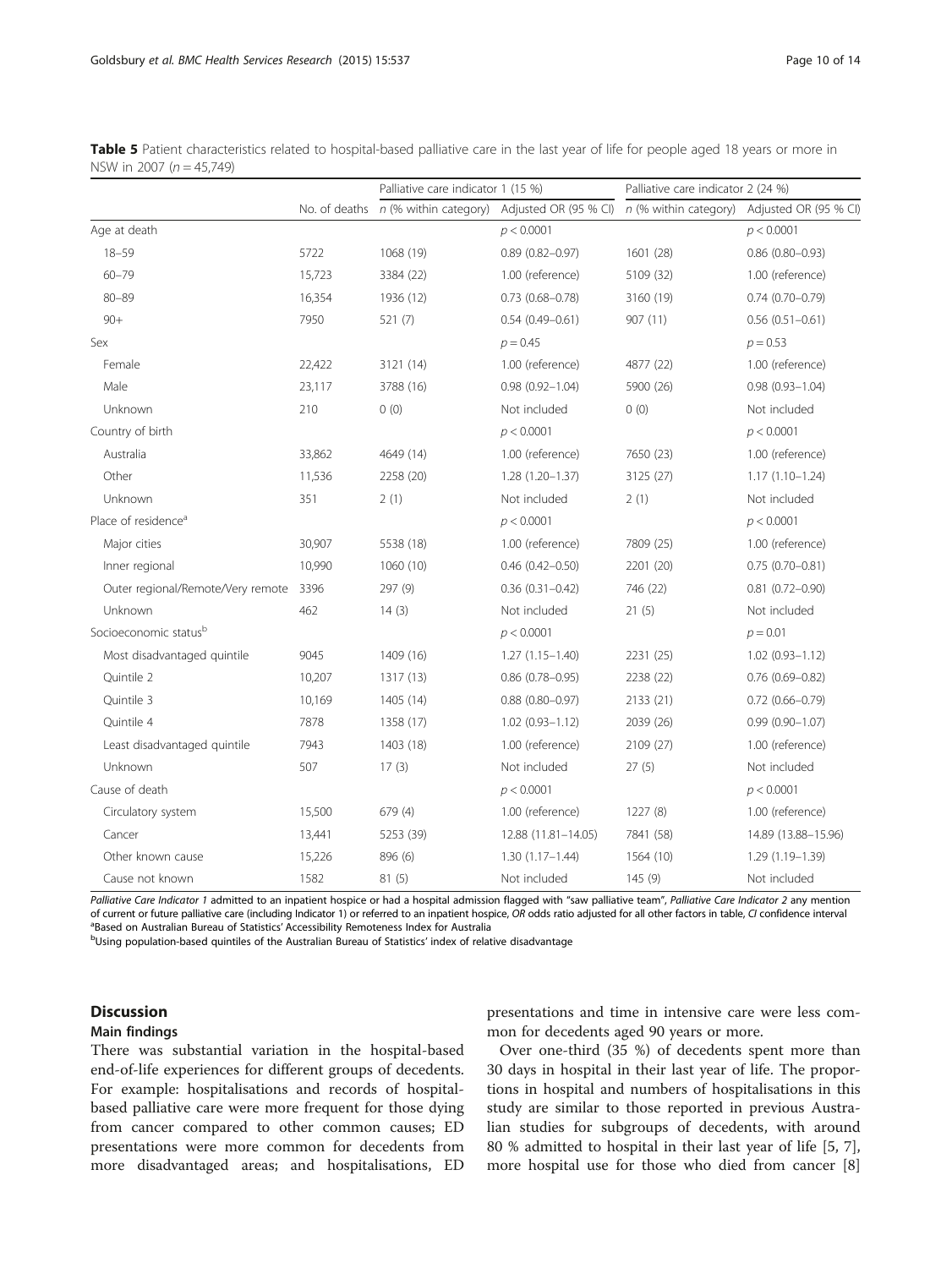|                                   |        | Palliative care indicator 1 (15 %)                          |                        | Palliative care indicator 2 (24 %) |                        |  |
|-----------------------------------|--------|-------------------------------------------------------------|------------------------|------------------------------------|------------------------|--|
|                                   |        | No. of deaths $n$ (% within category) Adjusted OR (95 % CI) |                        | n (% within category)              | Adjusted OR (95 % CI)  |  |
| Age at death                      |        |                                                             | p < 0.0001             |                                    | p < 0.0001             |  |
| $18 - 59$                         | 5722   | 1068 (19)                                                   | $0.89$ $(0.82 - 0.97)$ | 1601 (28)                          | $0.86$ (0.80-0.93)     |  |
| $60 - 79$                         | 15,723 | 3384 (22)                                                   | 1.00 (reference)       | 5109 (32)                          | 1.00 (reference)       |  |
| $80 - 89$                         | 16,354 | 1936 (12)                                                   | $0.73$ $(0.68 - 0.78)$ | 3160 (19)                          | $0.74(0.70 - 0.79)$    |  |
| $90+$                             | 7950   | 521(7)                                                      | $0.54(0.49 - 0.61)$    | 907 (11)                           | $0.56(0.51 - 0.61)$    |  |
| Sex                               |        |                                                             | $p = 0.45$             |                                    | $p = 0.53$             |  |
| Female                            | 22,422 | 3121 (14)                                                   | 1.00 (reference)       | 4877 (22)                          | 1.00 (reference)       |  |
| Male                              | 23,117 | 3788 (16)                                                   | $0.98(0.92 - 1.04)$    | 5900 (26)                          | $0.98(0.93 - 1.04)$    |  |
| Unknown                           | 210    | 0(0)                                                        | Not included           | 0(0)                               | Not included           |  |
| Country of birth                  |        |                                                             | p < 0.0001             |                                    | p < 0.0001             |  |
| Australia                         | 33,862 | 4649 (14)                                                   | 1.00 (reference)       | 7650 (23)                          | 1.00 (reference)       |  |
| Other                             | 11,536 | 2258 (20)                                                   | $1.28(1.20-1.37)$      | 3125 (27)                          | $1.17(1.10-1.24)$      |  |
| Unknown                           | 351    | 2(1)                                                        | Not included           | 2(1)                               | Not included           |  |
| Place of residence <sup>a</sup>   |        | p < 0.0001                                                  |                        |                                    | p < 0.0001             |  |
| Major cities                      | 30,907 | 5538 (18)                                                   | 1.00 (reference)       | 7809 (25)                          | 1.00 (reference)       |  |
| Inner regional                    | 10,990 | 1060 (10)                                                   | $0.46$ $(0.42 - 0.50)$ | 2201 (20)                          | $0.75(0.70 - 0.81)$    |  |
| Outer regional/Remote/Very remote | 3396   | 297 (9)                                                     | $0.36(0.31 - 0.42)$    | 746 (22)                           | $0.81$ (0.72-0.90)     |  |
| Unknown                           | 462    | 14(3)                                                       | Not included           | 21(5)                              | Not included           |  |
| Socioeconomic statusb             |        |                                                             | p < 0.0001             |                                    | $p = 0.01$             |  |
| Most disadvantaged quintile       | 9045   | 1409 (16)                                                   | $1.27(1.15 - 1.40)$    | 2231 (25)                          | $1.02(0.93 - 1.12)$    |  |
| Ouintile 2                        | 10,207 | 1317 (13)                                                   | $0.86$ (0.78-0.95)     | 2238 (22)                          | $0.76$ (0.69-0.82)     |  |
| Quintile 3                        | 10,169 | 1405 (14)                                                   | $0.88(0.80 - 0.97)$    | 2133 (21)                          | $0.72$ $(0.66 - 0.79)$ |  |
| Quintile 4                        | 7878   | 1358 (17)                                                   | $1.02(0.93 - 1.12)$    | 2039 (26)                          | $0.99(0.90 - 1.07)$    |  |
| Least disadvantaged quintile      | 7943   | 1403 (18)                                                   | 1.00 (reference)       | 2109 (27)                          | 1.00 (reference)       |  |
| Unknown                           | 507    | 17(3)                                                       | Not included           | 27(5)                              | Not included           |  |
| Cause of death                    |        |                                                             | p < 0.0001             |                                    | p < 0.0001             |  |
| Circulatory system                | 15,500 | 679(4)                                                      | 1.00 (reference)       | 1227 (8)                           | 1.00 (reference)       |  |
| Cancer                            | 13,441 | 5253 (39)                                                   | 12.88 (11.81-14.05)    | 7841 (58)                          | 14.89 (13.88-15.96)    |  |
| Other known cause                 | 15,226 | 896 (6)                                                     | $1.30(1.17 - 1.44)$    | 1564 (10)                          | 1.29 (1.19-1.39)       |  |
| Cause not known                   | 1582   | 81(5)                                                       | Not included           | 145(9)                             | Not included           |  |

<span id="page-11-0"></span>

| Table 5 Patient characteristics related to hospital-based palliative care in the last year of life for people aged 18 years or more in |  |  |  |  |  |
|----------------------------------------------------------------------------------------------------------------------------------------|--|--|--|--|--|
| NSW in 2007 (n = 45,749)                                                                                                               |  |  |  |  |  |

Palliative Care Indicator 1 admitted to an inpatient hospice or had a hospital admission flagged with "saw palliative team", Palliative Care Indicator 2 any mention of current or future palliative care (including Indicator 1) or referred to an inpatient hospice, OR odds ratio adjusted for all other factors in table, CI confidence interval <sup>a</sup>Based on Australian Bureau of Statistics' Accessibility Remoteness Index for Australia

bUsing population-based quintiles of the Australian Bureau of Statistics' index of relative disadvantage

# Discussion

#### Main findings

There was substantial variation in the hospital-based end-of-life experiences for different groups of decedents. For example: hospitalisations and records of hospitalbased palliative care were more frequent for those dying from cancer compared to other common causes; ED presentations were more common for decedents from more disadvantaged areas; and hospitalisations, ED

presentations and time in intensive care were less common for decedents aged 90 years or more.

Over one-third (35 %) of decedents spent more than 30 days in hospital in their last year of life. The proportions in hospital and numbers of hospitalisations in this study are similar to those reported in previous Australian studies for subgroups of decedents, with around 80 % admitted to hospital in their last year of life [[5, 7](#page-14-0)], more hospital use for those who died from cancer [\[8](#page-14-0)]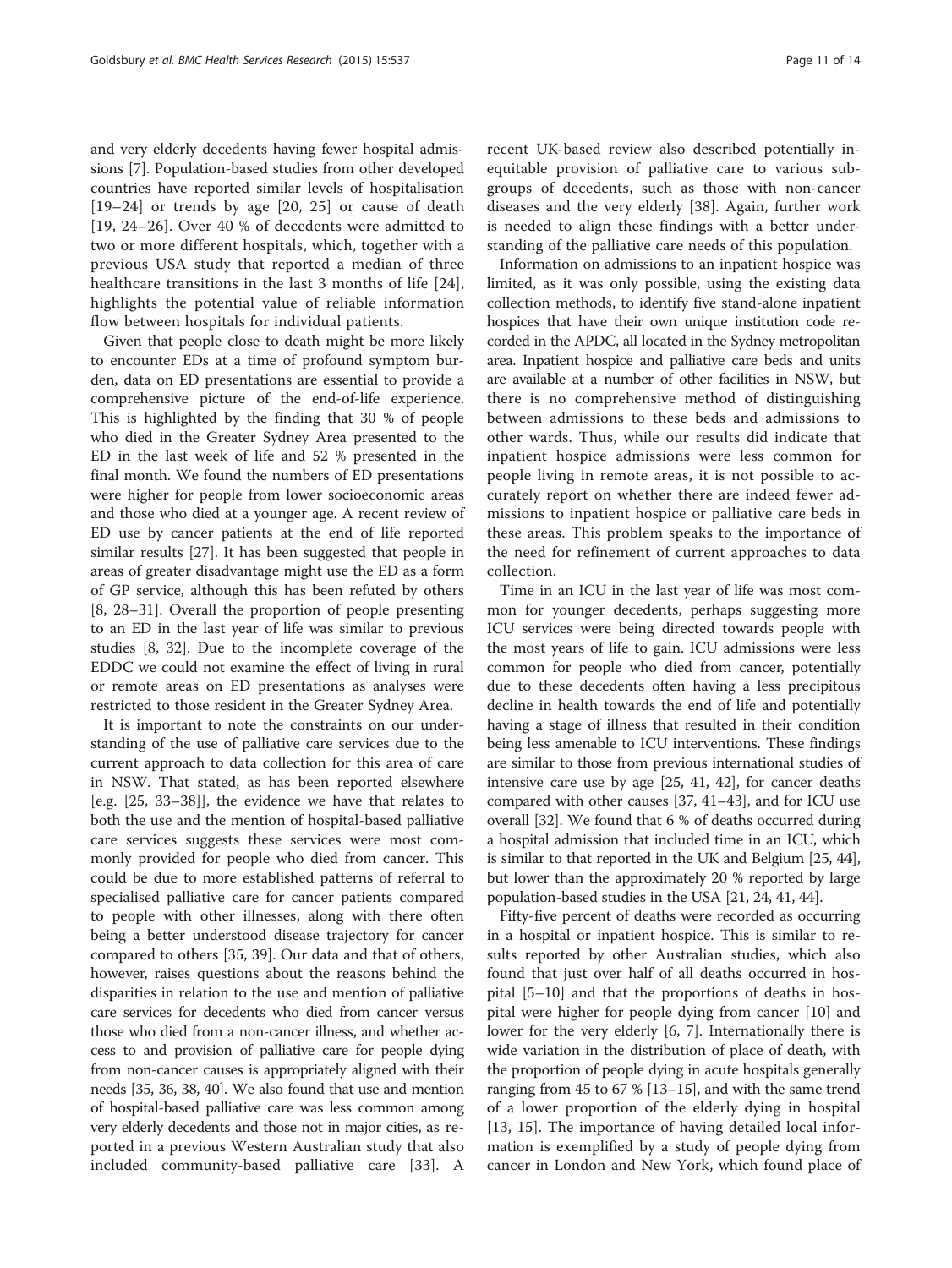and very elderly decedents having fewer hospital admissions [[7](#page-14-0)]. Population-based studies from other developed countries have reported similar levels of hospitalisation [[19](#page-15-0)–[24\]](#page-15-0) or trends by age [[20](#page-15-0), [25](#page-15-0)] or cause of death [[19](#page-15-0), [24](#page-15-0)–[26\]](#page-15-0). Over 40 % of decedents were admitted to two or more different hospitals, which, together with a previous USA study that reported a median of three healthcare transitions in the last 3 months of life [[24](#page-15-0)], highlights the potential value of reliable information flow between hospitals for individual patients.

Given that people close to death might be more likely to encounter EDs at a time of profound symptom burden, data on ED presentations are essential to provide a comprehensive picture of the end-of-life experience. This is highlighted by the finding that 30 % of people who died in the Greater Sydney Area presented to the ED in the last week of life and 52 % presented in the final month. We found the numbers of ED presentations were higher for people from lower socioeconomic areas and those who died at a younger age. A recent review of ED use by cancer patients at the end of life reported similar results [\[27](#page-15-0)]. It has been suggested that people in areas of greater disadvantage might use the ED as a form of GP service, although this has been refuted by others [[8,](#page-14-0) [28](#page-15-0)–[31](#page-15-0)]. Overall the proportion of people presenting to an ED in the last year of life was similar to previous studies [[8](#page-14-0), [32\]](#page-15-0). Due to the incomplete coverage of the EDDC we could not examine the effect of living in rural or remote areas on ED presentations as analyses were restricted to those resident in the Greater Sydney Area.

It is important to note the constraints on our understanding of the use of palliative care services due to the current approach to data collection for this area of care in NSW. That stated, as has been reported elsewhere [e.g. [[25, 33](#page-15-0)–[38\]](#page-15-0)], the evidence we have that relates to both the use and the mention of hospital-based palliative care services suggests these services were most commonly provided for people who died from cancer. This could be due to more established patterns of referral to specialised palliative care for cancer patients compared to people with other illnesses, along with there often being a better understood disease trajectory for cancer compared to others [[35, 39](#page-15-0)]. Our data and that of others, however, raises questions about the reasons behind the disparities in relation to the use and mention of palliative care services for decedents who died from cancer versus those who died from a non-cancer illness, and whether access to and provision of palliative care for people dying from non-cancer causes is appropriately aligned with their needs [\[35](#page-15-0), [36, 38, 40](#page-15-0)]. We also found that use and mention of hospital-based palliative care was less common among very elderly decedents and those not in major cities, as reported in a previous Western Australian study that also included community-based palliative care [\[33](#page-15-0)]. A

recent UK-based review also described potentially inequitable provision of palliative care to various subgroups of decedents, such as those with non-cancer diseases and the very elderly [[38\]](#page-15-0). Again, further work is needed to align these findings with a better understanding of the palliative care needs of this population.

Information on admissions to an inpatient hospice was limited, as it was only possible, using the existing data collection methods, to identify five stand-alone inpatient hospices that have their own unique institution code recorded in the APDC, all located in the Sydney metropolitan area. Inpatient hospice and palliative care beds and units are available at a number of other facilities in NSW, but there is no comprehensive method of distinguishing between admissions to these beds and admissions to other wards. Thus, while our results did indicate that inpatient hospice admissions were less common for people living in remote areas, it is not possible to accurately report on whether there are indeed fewer admissions to inpatient hospice or palliative care beds in these areas. This problem speaks to the importance of the need for refinement of current approaches to data collection.

Time in an ICU in the last year of life was most common for younger decedents, perhaps suggesting more ICU services were being directed towards people with the most years of life to gain. ICU admissions were less common for people who died from cancer, potentially due to these decedents often having a less precipitous decline in health towards the end of life and potentially having a stage of illness that resulted in their condition being less amenable to ICU interventions. These findings are similar to those from previous international studies of intensive care use by age [\[25, 41, 42\]](#page-15-0), for cancer deaths compared with other causes [[37](#page-15-0), [41](#page-15-0)–[43](#page-15-0)], and for ICU use overall [\[32\]](#page-15-0). We found that 6 % of deaths occurred during a hospital admission that included time in an ICU, which is similar to that reported in the UK and Belgium [\[25, 44](#page-15-0)], but lower than the approximately 20 % reported by large population-based studies in the USA [\[21, 24](#page-15-0), [41](#page-15-0), [44\]](#page-15-0).

Fifty-five percent of deaths were recorded as occurring in a hospital or inpatient hospice. This is similar to results reported by other Australian studies, which also found that just over half of all deaths occurred in hospital [[5](#page-14-0)–[10\]](#page-14-0) and that the proportions of deaths in hospital were higher for people dying from cancer [[10\]](#page-14-0) and lower for the very elderly [[6, 7](#page-14-0)]. Internationally there is wide variation in the distribution of place of death, with the proportion of people dying in acute hospitals generally ranging from 45 to 67 % [\[13](#page-15-0)–[15](#page-15-0)], and with the same trend of a lower proportion of the elderly dying in hospital [[13, 15\]](#page-15-0). The importance of having detailed local information is exemplified by a study of people dying from cancer in London and New York, which found place of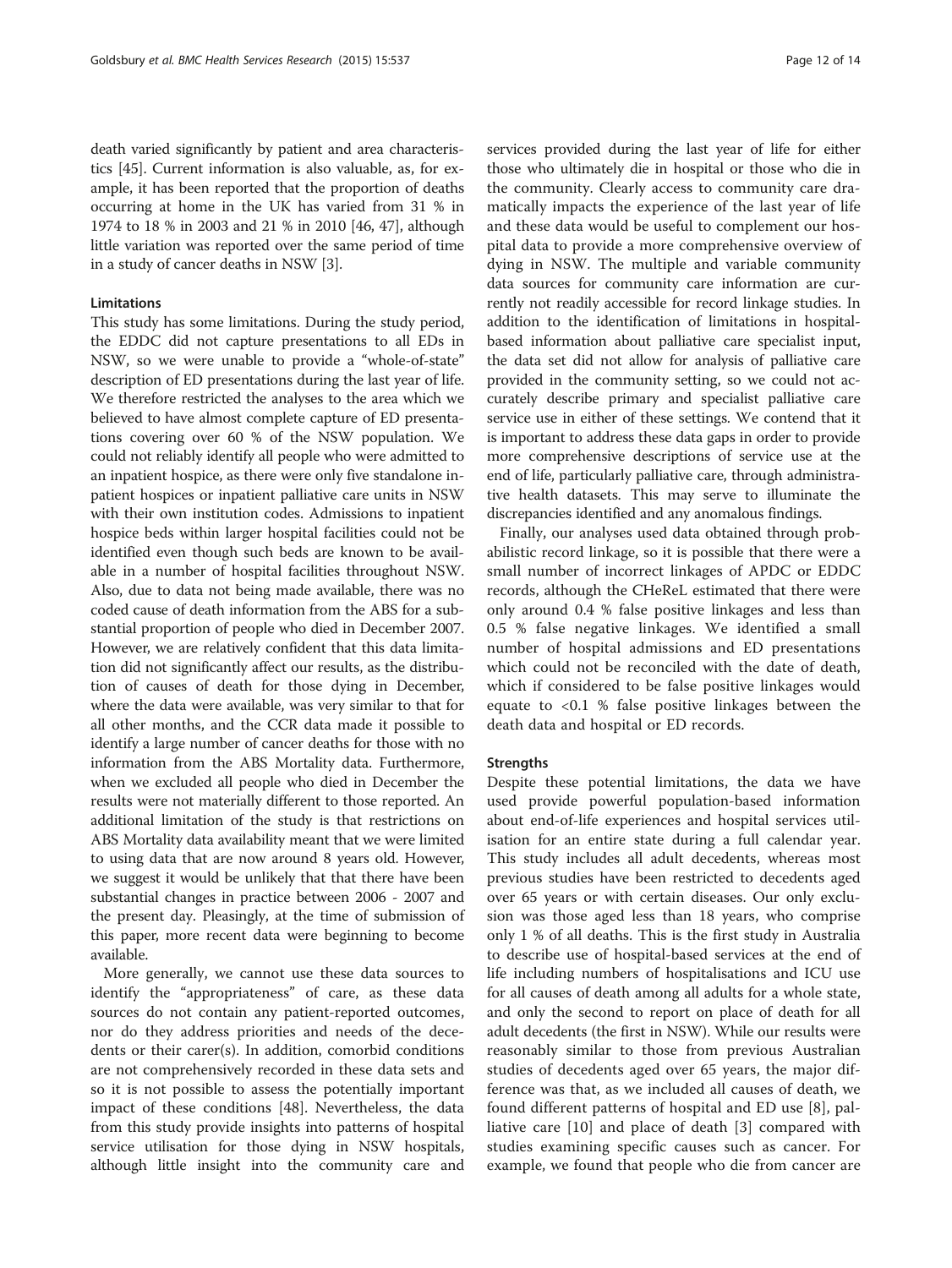death varied significantly by patient and area characteristics [\[45\]](#page-15-0). Current information is also valuable, as, for example, it has been reported that the proportion of deaths occurring at home in the UK has varied from 31 % in 1974 to 18 % in 2003 and 21 % in 2010 [[46](#page-15-0), [47](#page-15-0)], although little variation was reported over the same period of time in a study of cancer deaths in NSW [\[3](#page-14-0)].

# Limitations

This study has some limitations. During the study period, the EDDC did not capture presentations to all EDs in NSW, so we were unable to provide a "whole-of-state" description of ED presentations during the last year of life. We therefore restricted the analyses to the area which we believed to have almost complete capture of ED presentations covering over 60 % of the NSW population. We could not reliably identify all people who were admitted to an inpatient hospice, as there were only five standalone inpatient hospices or inpatient palliative care units in NSW with their own institution codes. Admissions to inpatient hospice beds within larger hospital facilities could not be identified even though such beds are known to be available in a number of hospital facilities throughout NSW. Also, due to data not being made available, there was no coded cause of death information from the ABS for a substantial proportion of people who died in December 2007. However, we are relatively confident that this data limitation did not significantly affect our results, as the distribution of causes of death for those dying in December, where the data were available, was very similar to that for all other months, and the CCR data made it possible to identify a large number of cancer deaths for those with no information from the ABS Mortality data. Furthermore, when we excluded all people who died in December the results were not materially different to those reported. An additional limitation of the study is that restrictions on ABS Mortality data availability meant that we were limited to using data that are now around 8 years old. However, we suggest it would be unlikely that that there have been substantial changes in practice between 2006 - 2007 and the present day. Pleasingly, at the time of submission of this paper, more recent data were beginning to become available.

More generally, we cannot use these data sources to identify the "appropriateness" of care, as these data sources do not contain any patient-reported outcomes, nor do they address priorities and needs of the decedents or their carer(s). In addition, comorbid conditions are not comprehensively recorded in these data sets and so it is not possible to assess the potentially important impact of these conditions [[48](#page-15-0)]. Nevertheless, the data from this study provide insights into patterns of hospital service utilisation for those dying in NSW hospitals, although little insight into the community care and

services provided during the last year of life for either those who ultimately die in hospital or those who die in the community. Clearly access to community care dramatically impacts the experience of the last year of life and these data would be useful to complement our hospital data to provide a more comprehensive overview of dying in NSW. The multiple and variable community data sources for community care information are currently not readily accessible for record linkage studies. In addition to the identification of limitations in hospitalbased information about palliative care specialist input, the data set did not allow for analysis of palliative care provided in the community setting, so we could not accurately describe primary and specialist palliative care service use in either of these settings. We contend that it is important to address these data gaps in order to provide more comprehensive descriptions of service use at the end of life, particularly palliative care, through administrative health datasets. This may serve to illuminate the discrepancies identified and any anomalous findings.

Finally, our analyses used data obtained through probabilistic record linkage, so it is possible that there were a small number of incorrect linkages of APDC or EDDC records, although the CHeReL estimated that there were only around 0.4 % false positive linkages and less than 0.5 % false negative linkages. We identified a small number of hospital admissions and ED presentations which could not be reconciled with the date of death, which if considered to be false positive linkages would equate to <0.1 % false positive linkages between the death data and hospital or ED records.

## **Strengths**

Despite these potential limitations, the data we have used provide powerful population-based information about end-of-life experiences and hospital services utilisation for an entire state during a full calendar year. This study includes all adult decedents, whereas most previous studies have been restricted to decedents aged over 65 years or with certain diseases. Our only exclusion was those aged less than 18 years, who comprise only 1 % of all deaths. This is the first study in Australia to describe use of hospital-based services at the end of life including numbers of hospitalisations and ICU use for all causes of death among all adults for a whole state, and only the second to report on place of death for all adult decedents (the first in NSW). While our results were reasonably similar to those from previous Australian studies of decedents aged over 65 years, the major difference was that, as we included all causes of death, we found different patterns of hospital and ED use [[8](#page-14-0)], palliative care [\[10](#page-14-0)] and place of death [[3\]](#page-14-0) compared with studies examining specific causes such as cancer. For example, we found that people who die from cancer are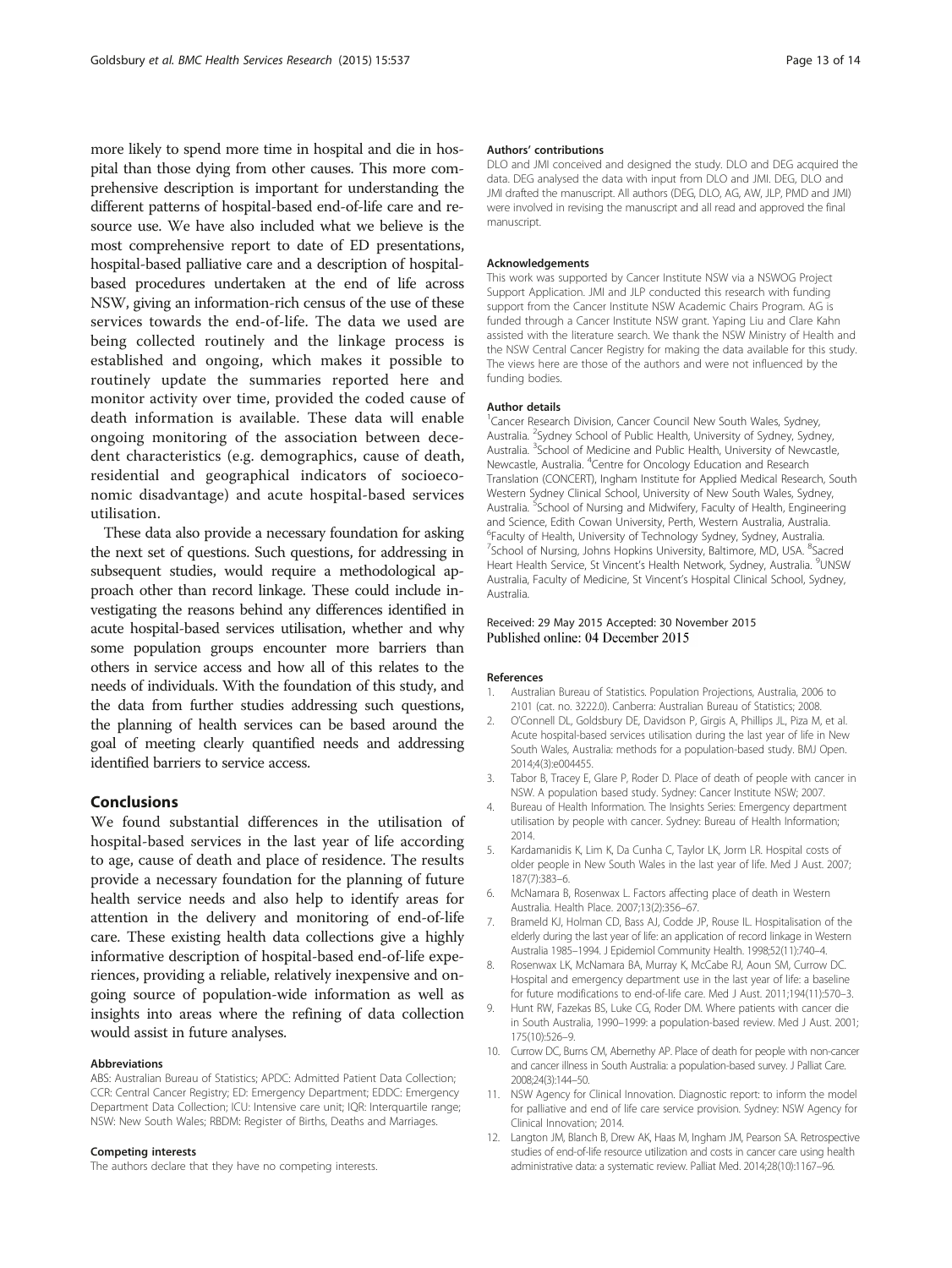<span id="page-14-0"></span>more likely to spend more time in hospital and die in hospital than those dying from other causes. This more comprehensive description is important for understanding the different patterns of hospital-based end-of-life care and resource use. We have also included what we believe is the most comprehensive report to date of ED presentations, hospital-based palliative care and a description of hospitalbased procedures undertaken at the end of life across NSW, giving an information-rich census of the use of these services towards the end-of-life. The data we used are being collected routinely and the linkage process is established and ongoing, which makes it possible to routinely update the summaries reported here and monitor activity over time, provided the coded cause of death information is available. These data will enable ongoing monitoring of the association between decedent characteristics (e.g. demographics, cause of death, residential and geographical indicators of socioeconomic disadvantage) and acute hospital-based services utilisation.

These data also provide a necessary foundation for asking the next set of questions. Such questions, for addressing in subsequent studies, would require a methodological approach other than record linkage. These could include investigating the reasons behind any differences identified in acute hospital-based services utilisation, whether and why some population groups encounter more barriers than others in service access and how all of this relates to the needs of individuals. With the foundation of this study, and the data from further studies addressing such questions, the planning of health services can be based around the goal of meeting clearly quantified needs and addressing identified barriers to service access.

## Conclusions

We found substantial differences in the utilisation of hospital-based services in the last year of life according to age, cause of death and place of residence. The results provide a necessary foundation for the planning of future health service needs and also help to identify areas for attention in the delivery and monitoring of end-of-life care. These existing health data collections give a highly informative description of hospital-based end-of-life experiences, providing a reliable, relatively inexpensive and ongoing source of population-wide information as well as insights into areas where the refining of data collection would assist in future analyses.

#### Abbreviations

ABS: Australian Bureau of Statistics; APDC: Admitted Patient Data Collection; CCR: Central Cancer Registry; ED: Emergency Department; EDDC: Emergency Department Data Collection; ICU: Intensive care unit; IQR: Interquartile range; NSW: New South Wales; RBDM: Register of Births, Deaths and Marriages.

#### Competing interests

The authors declare that they have no competing interests.

#### Authors' contributions

DLO and JMI conceived and designed the study. DLO and DEG acquired the data. DEG analysed the data with input from DLO and JMI. DEG, DLO and JMI drafted the manuscript. All authors (DEG, DLO, AG, AW, JLP, PMD and JMI) were involved in revising the manuscript and all read and approved the final manuscript.

#### Acknowledgements

This work was supported by Cancer Institute NSW via a NSWOG Project Support Application. JMI and JLP conducted this research with funding support from the Cancer Institute NSW Academic Chairs Program. AG is funded through a Cancer Institute NSW grant. Yaping Liu and Clare Kahn assisted with the literature search. We thank the NSW Ministry of Health and the NSW Central Cancer Registry for making the data available for this study. The views here are those of the authors and were not influenced by the funding bodies.

#### Author details

<sup>1</sup> Cancer Research Division, Cancer Council New South Wales, Sydney Australia. <sup>2</sup>Sydney School of Public Health, University of Sydney, Sydney, Australia. <sup>3</sup>School of Medicine and Public Health, University of Newcastle, Newcastle, Australia. <sup>4</sup>Centre for Oncology Education and Research Translation (CONCERT), Ingham Institute for Applied Medical Research, South Western Sydney Clinical School, University of New South Wales, Sydney, Australia. <sup>5</sup>School of Nursing and Midwifery, Faculty of Health, Engineering and Science, Edith Cowan University, Perth, Western Australia, Australia. 6 Faculty of Health, University of Technology Sydney, Sydney, Australia. <sup>7</sup>School of Nursing, Johns Hopkins University, Baltimore, MD, USA. <sup>8</sup>Sacred Heart Health Service, St Vincent's Health Network, Sydney, Australia. <sup>9</sup>UNSW Australia, Faculty of Medicine, St Vincent's Hospital Clinical School, Sydney, Australia.

### Received: 29 May 2015 Accepted: 30 November 2015 Published online: 04 December 2015

#### References

- 1. Australian Bureau of Statistics. Population Projections, Australia, 2006 to 2101 (cat. no. 3222.0). Canberra: Australian Bureau of Statistics; 2008.
- 2. O'Connell DL, Goldsbury DE, Davidson P, Girgis A, Phillips JL, Piza M, et al. Acute hospital-based services utilisation during the last year of life in New South Wales, Australia: methods for a population-based study. BMJ Open. 2014;4(3):e004455.
- 3. Tabor B, Tracey E, Glare P, Roder D. Place of death of people with cancer in NSW. A population based study. Sydney: Cancer Institute NSW; 2007.
- 4. Bureau of Health Information. The Insights Series: Emergency department utilisation by people with cancer. Sydney: Bureau of Health Information; 2014.
- 5. Kardamanidis K, Lim K, Da Cunha C, Taylor LK, Jorm LR. Hospital costs of older people in New South Wales in the last year of life. Med J Aust. 2007; 187(7):383–6.
- 6. McNamara B, Rosenwax L. Factors affecting place of death in Western Australia. Health Place. 2007;13(2):356–67.
- 7. Brameld KJ, Holman CD, Bass AJ, Codde JP, Rouse IL. Hospitalisation of the elderly during the last year of life: an application of record linkage in Western Australia 1985–1994. J Epidemiol Community Health. 1998;52(11):740–4.
- 8. Rosenwax LK, McNamara BA, Murray K, McCabe RJ, Aoun SM, Currow DC. Hospital and emergency department use in the last year of life: a baseline for future modifications to end-of-life care. Med J Aust. 2011;194(11):570–3.
- 9. Hunt RW, Fazekas BS, Luke CG, Roder DM. Where patients with cancer die in South Australia, 1990–1999: a population-based review. Med J Aust. 2001; 175(10):526–9.
- 10. Currow DC, Burns CM, Abernethy AP. Place of death for people with non-cancer and cancer illness in South Australia: a population-based survey. J Palliat Care. 2008;24(3):144–50.
- 11. NSW Agency for Clinical Innovation. Diagnostic report: to inform the model for palliative and end of life care service provision. Sydney: NSW Agency for Clinical Innovation; 2014.
- 12. Langton JM, Blanch B, Drew AK, Haas M, Ingham JM, Pearson SA. Retrospective studies of end-of-life resource utilization and costs in cancer care using health administrative data: a systematic review. Palliat Med. 2014;28(10):1167–96.